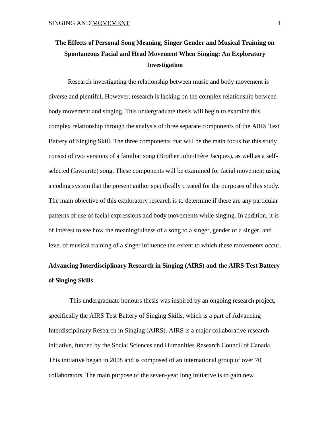# **The Effects of Personal Song Meaning, Singer Gender and Musical Training on Spontaneous Facial and Head Movement When Singing: An Exploratory Investigation**

Research investigating the relationship between music and body movement is diverse and plentiful. However, research is lacking on the complex relationship between body movement and singing. This undergraduate thesis will begin to examine this complex relationship through the analysis of three separate components of the AIRS Test Battery of Singing Skill. The three components that will be the main focus for this study consist of two versions of a familiar song (Brother John/Frère Jacques), as well as a selfselected (favourite) song. These components will be examined for facial movement using a coding system that the present author specifically created for the purposes of this study. The main objective of this exploratory research is to determine if there are any particular patterns of use of facial expressions and body movements while singing. In addition, it is of interest to see how the meaningfulness of a song to a singer, gender of a singer, and level of musical training of a singer influence the extent to which these movements occur.

# **Advancing Interdisciplinary Research in Singing (AIRS) and the AIRS Test Battery of Singing Skills**

This undergraduate honours thesis was inspired by an ongoing research project, specifically the AIRS Test Battery of Singing Skills, which is a part of Advancing Interdisciplinary Research in Singing (AIRS). AIRS is a major collaborative research initiative, funded by the Social Sciences and Humanities Research Council of Canada. This initiative began in 2008 and is composed of an international group of over 70 collaborators. The main purpose of the seven-year long initiative is to gain new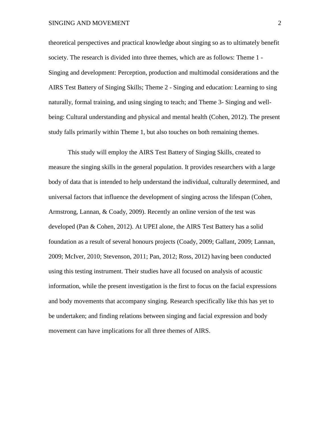#### SINGING AND MOVEMENT 2

theoretical perspectives and practical knowledge about singing so as to ultimately benefit society. The research is divided into three themes, which are as follows: Theme 1 - Singing and development: Perception, production and multimodal considerations and the AIRS Test Battery of Singing Skills; Theme 2 - Singing and education: Learning to sing naturally, formal training, and using singing to teach; and Theme 3- Singing and wellbeing: Cultural understanding and physical and mental health (Cohen, 2012). The present study falls primarily within Theme 1, but also touches on both remaining themes.

This study will employ the AIRS Test Battery of Singing Skills, created to measure the singing skills in the general population. It provides researchers with a large body of data that is intended to help understand the individual, culturally determined, and universal factors that influence the development of singing across the lifespan (Cohen, Armstrong, Lannan, & Coady, 2009). Recently an online version of the test was developed (Pan & Cohen, 2012). At UPEI alone, the AIRS Test Battery has a solid foundation as a result of several honours projects (Coady, 2009; Gallant, 2009; Lannan, 2009; McIver, 2010; Stevenson, 2011; Pan, 2012; Ross, 2012) having been conducted using this testing instrument. Their studies have all focused on analysis of acoustic information, while the present investigation is the first to focus on the facial expressions and body movements that accompany singing. Research specifically like this has yet to be undertaken; and finding relations between singing and facial expression and body movement can have implications for all three themes of AIRS.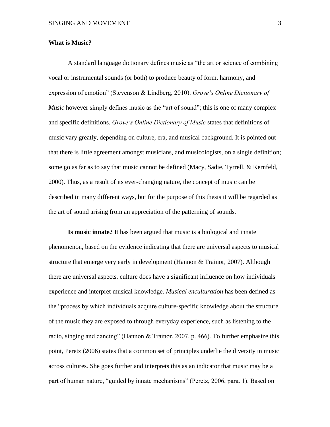#### **What is Music?**

A standard language dictionary defines music as "the art or science of combining vocal or instrumental sounds (or both) to produce beauty of form, harmony, and expression of emotion" (Stevenson & Lindberg, 2010). *Grove's Online Dictionary of Music* however simply defines music as the "art of sound"; this is one of many complex and specific definitions. *Grove's Online Dictionary of Music* states that definitions of music vary greatly, depending on culture, era, and musical background. It is pointed out that there is little agreement amongst musicians, and musicologists, on a single definition; some go as far as to say that music cannot be defined (Macy, Sadie, Tyrrell, & Kernfeld, 2000). Thus, as a result of its ever-changing nature, the concept of music can be described in many different ways, but for the purpose of this thesis it will be regarded as the art of sound arising from an appreciation of the patterning of sounds.

**Is music innate?** It has been argued that music is a biological and innate phenomenon, based on the evidence indicating that there are universal aspects to musical structure that emerge very early in development (Hannon & Trainor, 2007). Although there are universal aspects, culture does have a significant influence on how individuals experience and interpret musical knowledge. *Musical enculturation* has been defined as the "process by which individuals acquire culture-specific knowledge about the structure of the music they are exposed to through everyday experience, such as listening to the radio, singing and dancing" (Hannon & Trainor, 2007, p. 466)*.* To further emphasize this point, Peretz (2006) states that a common set of principles underlie the diversity in music across cultures. She goes further and interprets this as an indicator that music may be a part of human nature, "guided by innate mechanisms" (Peretz, 2006, para. 1). Based on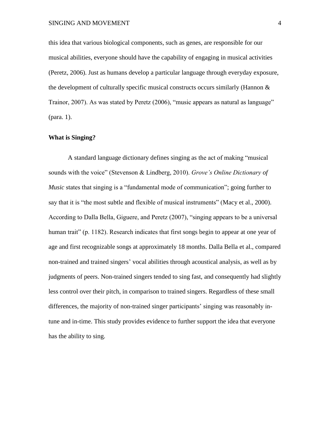this idea that various biological components, such as genes, are responsible for our musical abilities, everyone should have the capability of engaging in musical activities (Peretz, 2006). Just as humans develop a particular language through everyday exposure, the development of culturally specific musical constructs occurs similarly (Hannon & Trainor, 2007). As was stated by Peretz (2006), "music appears as natural as language" (para. 1).

#### **What is Singing?**

A standard language dictionary defines singing as the act of making "musical sounds with the voice" (Stevenson & Lindberg, 2010). *Grove's Online Dictionary of Music* states that singing is a "fundamental mode of communication"; going further to say that it is "the most subtle and flexible of musical instruments" (Macy et al., 2000). According to Dalla Bella, Giguere, and Peretz (2007), "singing appears to be a universal human trait" (p. 1182). Research indicates that first songs begin to appear at one year of age and first recognizable songs at approximately 18 months. Dalla Bella et al., compared non-trained and trained singers' vocal abilities through acoustical analysis, as well as by judgments of peers. Non-trained singers tended to sing fast, and consequently had slightly less control over their pitch, in comparison to trained singers. Regardless of these small differences, the majority of non-trained singer participants' singing was reasonably intune and in-time. This study provides evidence to further support the idea that everyone has the ability to sing.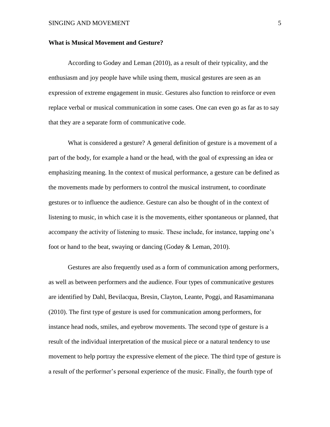#### **What is Musical Movement and Gesture?**

According to Godøy and Leman (2010), as a result of their typicality, and the enthusiasm and joy people have while using them, musical gestures are seen as an expression of extreme engagement in music. Gestures also function to reinforce or even replace verbal or musical communication in some cases. One can even go as far as to say that they are a separate form of communicative code.

What is considered a gesture? A general definition of gesture is a movement of a part of the body, for example a hand or the head, with the goal of expressing an idea or emphasizing meaning. In the context of musical performance, a gesture can be defined as the movements made by performers to control the musical instrument, to coordinate gestures or to influence the audience. Gesture can also be thought of in the context of listening to music, in which case it is the movements, either spontaneous or planned, that accompany the activity of listening to music. These include, for instance, tapping one's foot or hand to the beat, swaying or dancing (Godøy & Leman, 2010).

Gestures are also frequently used as a form of communication among performers, as well as between performers and the audience. Four types of communicative gestures are identified by Dahl, Bevilacqua, Bresin, Clayton, Leante, Poggi, and Rasamimanana (2010). The first type of gesture is used for communication among performers, for instance head nods, smiles, and eyebrow movements. The second type of gesture is a result of the individual interpretation of the musical piece or a natural tendency to use movement to help portray the expressive element of the piece. The third type of gesture is a result of the performer's personal experience of the music. Finally, the fourth type of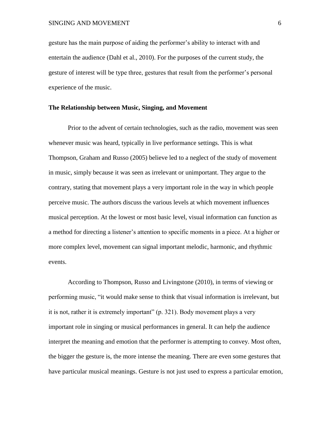gesture has the main purpose of aiding the performer's ability to interact with and entertain the audience (Dahl et al., 2010). For the purposes of the current study, the gesture of interest will be type three, gestures that result from the performer's personal experience of the music.

## **The Relationship between Music, Singing, and Movement**

Prior to the advent of certain technologies, such as the radio, movement was seen whenever music was heard, typically in live performance settings. This is what Thompson, Graham and Russo (2005) believe led to a neglect of the study of movement in music, simply because it was seen as irrelevant or unimportant. They argue to the contrary, stating that movement plays a very important role in the way in which people perceive music. The authors discuss the various levels at which movement influences musical perception. At the lowest or most basic level, visual information can function as a method for directing a listener's attention to specific moments in a piece. At a higher or more complex level, movement can signal important melodic, harmonic, and rhythmic events.

According to Thompson, Russo and Livingstone (2010), in terms of viewing or performing music, "it would make sense to think that visual information is irrelevant, but it is not, rather it is extremely important" (p. 321). Body movement plays a very important role in singing or musical performances in general. It can help the audience interpret the meaning and emotion that the performer is attempting to convey. Most often, the bigger the gesture is, the more intense the meaning. There are even some gestures that have particular musical meanings. Gesture is not just used to express a particular emotion,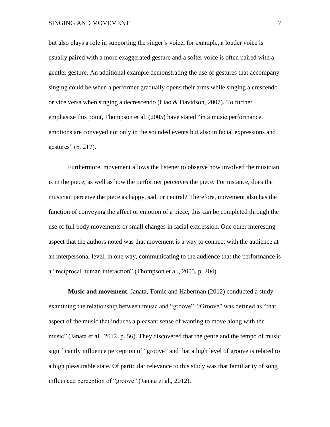### SINGING AND MOVEMENT 7

but also plays a role in supporting the singer's voice, for example, a louder voice is usually paired with a more exaggerated gesture and a softer voice is often paired with a gentler gesture. An additional example demonstrating the use of gestures that accompany singing could be when a performer gradually opens their arms while singing a crescendo or vice versa when singing a decrescendo (Liao & Davidson, 2007). To further emphasize this point, Thompson et al. (2005) have stated "in a music performance, emotions are conveyed not only in the sounded events but also in facial expressions and gestures" (p. 217).

Furthermore, movement allows the listener to observe how involved the musician is in the piece, as well as how the performer perceives the piece. For instance, does the musician perceive the piece as happy, sad, or neutral? Therefore, movement also has the function of conveying the affect or emotion of a piece; this can be completed through the use of full body movements or small changes in facial expression. One other interesting aspect that the authors noted was that movement is a way to connect with the audience at an interpersonal level, in one way, communicating to the audience that the performance is a "reciprocal human interaction" (Thompson et al., 2005, p. 204)

**Music and movement.** Janata, Tomic and Haberman (2012) conducted a study examining the relationship between music and "groove". "Groove" was defined as "that aspect of the music that induces a pleasant sense of wanting to move along with the music" (Janata et al., 2012, p. 56). They discovered that the genre and the tempo of music significantly influence perception of "groove" and that a high level of groove is related to a high pleasurable state. Of particular relevance to this study was that familiarity of song influenced perception of "groove" (Janata et al., 2012).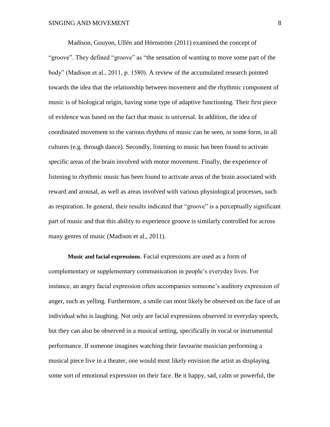Madison, Gouyon, Ullén and Hörnström (2011) examined the concept of "groove". They defined "groove" as "the sensation of wanting to move some part of the body" (Madison et al., 2011, p. 1580). A review of the accumulated research pointed towards the idea that the relationship between movement and the rhythmic component of music is of biological origin, having some type of adaptive functioning. Their first piece of evidence was based on the fact that music is universal. In addition, the idea of coordinated movement to the various rhythms of music can be seen, in some form, in all cultures (e.g. through dance). Secondly, listening to music has been found to activate specific areas of the brain involved with motor movement. Finally, the experience of listening to rhythmic music has been found to activate areas of the brain associated with reward and arousal, as well as areas involved with various physiological processes, such as respiration. In general, their results indicated that "groove" is a perceptually significant part of music and that this ability to experience groove is similarly controlled for across many genres of music (Madison et al., 2011).

**Music and facial expressions**. Facial expressions are used as a form of complementary or supplementary communication in people's everyday lives. For instance, an angry facial expression often accompanies someone's auditory expression of anger, such as yelling. Furthermore, a smile can most likely be observed on the face of an individual who is laughing. Not only are facial expressions observed in everyday speech, but they can also be observed in a musical setting, specifically in vocal or instrumental performance. If someone imagines watching their favourite musician performing a musical piece live in a theater, one would most likely envision the artist as displaying some sort of emotional expression on their face. Be it happy, sad, calm or powerful, the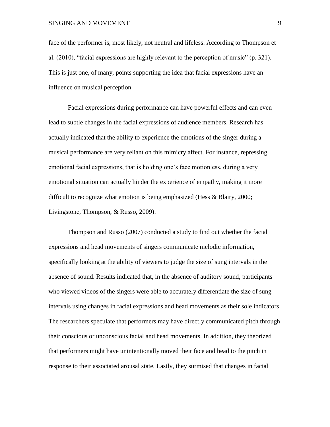face of the performer is, most likely, not neutral and lifeless. According to Thompson et al. (2010), "facial expressions are highly relevant to the perception of music" (p. 321). This is just one, of many, points supporting the idea that facial expressions have an influence on musical perception.

Facial expressions during performance can have powerful effects and can even lead to subtle changes in the facial expressions of audience members. Research has actually indicated that the ability to experience the emotions of the singer during a musical performance are very reliant on this mimicry affect. For instance, repressing emotional facial expressions, that is holding one's face motionless, during a very emotional situation can actually hinder the experience of empathy, making it more difficult to recognize what emotion is being emphasized (Hess & Blairy, 2000; Livingstone, Thompson, & Russo, 2009).

Thompson and Russo (2007) conducted a study to find out whether the facial expressions and head movements of singers communicate melodic information, specifically looking at the ability of viewers to judge the size of sung intervals in the absence of sound. Results indicated that, in the absence of auditory sound, participants who viewed videos of the singers were able to accurately differentiate the size of sung intervals using changes in facial expressions and head movements as their sole indicators. The researchers speculate that performers may have directly communicated pitch through their conscious or unconscious facial and head movements. In addition, they theorized that performers might have unintentionally moved their face and head to the pitch in response to their associated arousal state. Lastly, they surmised that changes in facial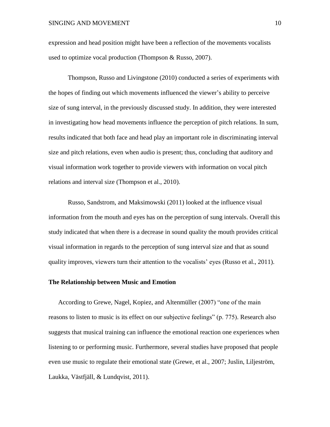expression and head position might have been a reflection of the movements vocalists used to optimize vocal production (Thompson & Russo, 2007).

Thompson, Russo and Livingstone (2010) conducted a series of experiments with the hopes of finding out which movements influenced the viewer's ability to perceive size of sung interval, in the previously discussed study. In addition, they were interested in investigating how head movements influence the perception of pitch relations. In sum, results indicated that both face and head play an important role in discriminating interval size and pitch relations, even when audio is present; thus, concluding that auditory and visual information work together to provide viewers with information on vocal pitch relations and interval size (Thompson et al., 2010).

Russo, Sandstrom, and Maksimowski (2011) looked at the influence visual information from the mouth and eyes has on the perception of sung intervals. Overall this study indicated that when there is a decrease in sound quality the mouth provides critical visual information in regards to the perception of sung interval size and that as sound quality improves, viewers turn their attention to the vocalists' eyes (Russo et al., 2011).

## **The Relationship between Music and Emotion**

According to Grewe, Nagel, Kopiez, and Altenmüller (2007) "one of the main reasons to listen to music is its effect on our subjective feelings" (p. 775). Research also suggests that musical training can influence the emotional reaction one experiences when listening to or performing music. Furthermore, several studies have proposed that people even use music to regulate their emotional state (Grewe, et al., 2007; Juslin, Liljeström, Laukka, Västfjäll, & Lundqvist, 2011).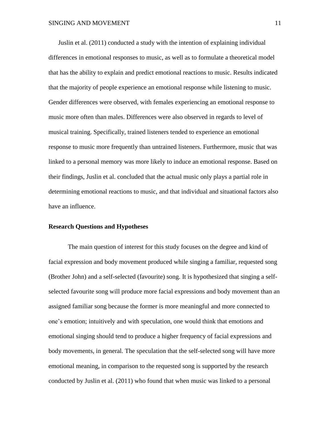Juslin et al. (2011) conducted a study with the intention of explaining individual differences in emotional responses to music, as well as to formulate a theoretical model that has the ability to explain and predict emotional reactions to music. Results indicated that the majority of people experience an emotional response while listening to music. Gender differences were observed, with females experiencing an emotional response to music more often than males. Differences were also observed in regards to level of musical training. Specifically, trained listeners tended to experience an emotional response to music more frequently than untrained listeners. Furthermore, music that was linked to a personal memory was more likely to induce an emotional response. Based on their findings, Juslin et al. concluded that the actual music only plays a partial role in determining emotional reactions to music, and that individual and situational factors also have an influence.

#### **Research Questions and Hypotheses**

The main question of interest for this study focuses on the degree and kind of facial expression and body movement produced while singing a familiar, requested song (Brother John) and a self-selected (favourite) song. It is hypothesized that singing a selfselected favourite song will produce more facial expressions and body movement than an assigned familiar song because the former is more meaningful and more connected to one's emotion; intuitively and with speculation, one would think that emotions and emotional singing should tend to produce a higher frequency of facial expressions and body movements, in general. The speculation that the self-selected song will have more emotional meaning, in comparison to the requested song is supported by the research conducted by Juslin et al. (2011) who found that when music was linked to a personal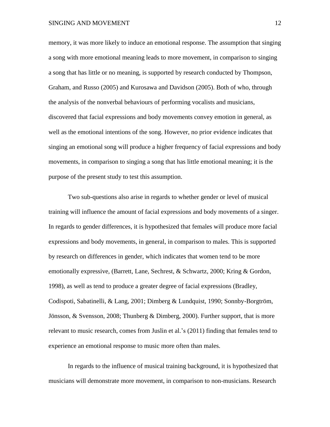memory, it was more likely to induce an emotional response. The assumption that singing a song with more emotional meaning leads to more movement, in comparison to singing a song that has little or no meaning, is supported by research conducted by Thompson, Graham, and Russo (2005) and Kurosawa and Davidson (2005). Both of who, through the analysis of the nonverbal behaviours of performing vocalists and musicians, discovered that facial expressions and body movements convey emotion in general, as well as the emotional intentions of the song. However, no prior evidence indicates that singing an emotional song will produce a higher frequency of facial expressions and body movements, in comparison to singing a song that has little emotional meaning; it is the purpose of the present study to test this assumption.

Two sub-questions also arise in regards to whether gender or level of musical training will influence the amount of facial expressions and body movements of a singer. In regards to gender differences, it is hypothesized that females will produce more facial expressions and body movements, in general, in comparison to males. This is supported by research on differences in gender, which indicates that women tend to be more emotionally expressive, (Barrett, Lane, Sechrest, & Schwartz, 2000; Kring & Gordon, 1998), as well as tend to produce a greater degree of facial expressions (Bradley, Codispoti, Sabatinelli, & Lang, 2001; Dimberg & Lundquist, 1990; Sonnby-Borgtröm, Jönsson, & Svensson, 2008; Thunberg & Dimberg, 2000). Further support, that is more relevant to music research, comes from Juslin et al.'s (2011) finding that females tend to experience an emotional response to music more often than males.

In regards to the influence of musical training background, it is hypothesized that musicians will demonstrate more movement, in comparison to non-musicians. Research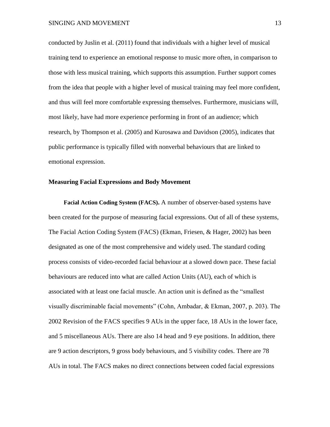conducted by Juslin et al. (2011) found that individuals with a higher level of musical training tend to experience an emotional response to music more often, in comparison to those with less musical training, which supports this assumption. Further support comes from the idea that people with a higher level of musical training may feel more confident, and thus will feel more comfortable expressing themselves. Furthermore, musicians will, most likely, have had more experience performing in front of an audience; which research, by Thompson et al. (2005) and Kurosawa and Davidson (2005), indicates that public performance is typically filled with nonverbal behaviours that are linked to emotional expression.

### **Measuring Facial Expressions and Body Movement**

**Facial Action Coding System (FACS).** A number of observer-based systems have been created for the purpose of measuring facial expressions. Out of all of these systems, The Facial Action Coding System (FACS) (Ekman, Friesen, & Hager, 2002) has been designated as one of the most comprehensive and widely used. The standard coding process consists of video-recorded facial behaviour at a slowed down pace. These facial behaviours are reduced into what are called Action Units (AU), each of which is associated with at least one facial muscle. An action unit is defined as the "smallest visually discriminable facial movements" (Cohn, Ambadar, & Ekman, 2007, p. 203). The 2002 Revision of the FACS specifies 9 AUs in the upper face, 18 AUs in the lower face, and 5 miscellaneous AUs. There are also 14 head and 9 eye positions. In addition, there are 9 action descriptors, 9 gross body behaviours, and 5 visibility codes. There are 78 AUs in total. The FACS makes no direct connections between coded facial expressions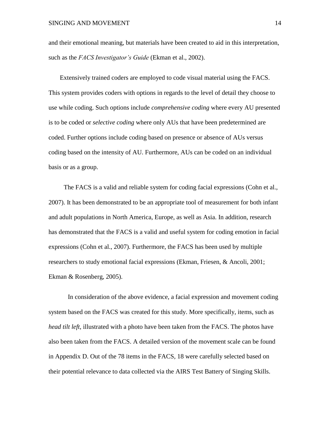and their emotional meaning, but materials have been created to aid in this interpretation, such as the *FACS Investigator's Guide* (Ekman et al., 2002).

Extensively trained coders are employed to code visual material using the FACS. This system provides coders with options in regards to the level of detail they choose to use while coding. Such options include *comprehensive coding* where every AU presented is to be coded or *selective coding* where only AUs that have been predetermined are coded. Further options include coding based on presence or absence of AUs versus coding based on the intensity of AU. Furthermore, AUs can be coded on an individual basis or as a group.

The FACS is a valid and reliable system for coding facial expressions (Cohn et al., 2007). It has been demonstrated to be an appropriate tool of measurement for both infant and adult populations in North America, Europe, as well as Asia. In addition, research has demonstrated that the FACS is a valid and useful system for coding emotion in facial expressions (Cohn et al., 2007). Furthermore, the FACS has been used by multiple researchers to study emotional facial expressions (Ekman, Friesen, & Ancoli, 2001; Ekman & Rosenberg, 2005).

In consideration of the above evidence, a facial expression and movement coding system based on the FACS was created for this study. More specifically, items, such as *head tilt left*, illustrated with a photo have been taken from the FACS. The photos have also been taken from the FACS. A detailed version of the movement scale can be found in Appendix D. Out of the 78 items in the FACS, 18 were carefully selected based on their potential relevance to data collected via the AIRS Test Battery of Singing Skills.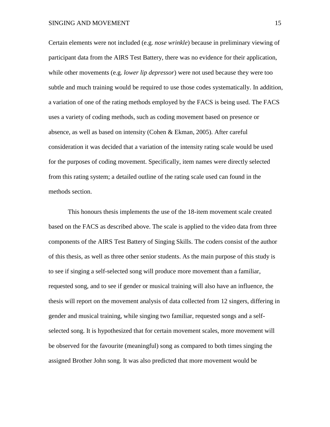Certain elements were not included (e.g. *nose wrinkle*) because in preliminary viewing of participant data from the AIRS Test Battery, there was no evidence for their application, while other movements (e.g. *lower lip depressor*) were not used because they were too subtle and much training would be required to use those codes systematically. In addition, a variation of one of the rating methods employed by the FACS is being used. The FACS uses a variety of coding methods, such as coding movement based on presence or absence, as well as based on intensity (Cohen & Ekman, 2005). After careful consideration it was decided that a variation of the intensity rating scale would be used for the purposes of coding movement. Specifically, item names were directly selected from this rating system; a detailed outline of the rating scale used can found in the methods section.

This honours thesis implements the use of the 18-item movement scale created based on the FACS as described above. The scale is applied to the video data from three components of the AIRS Test Battery of Singing Skills. The coders consist of the author of this thesis, as well as three other senior students. As the main purpose of this study is to see if singing a self-selected song will produce more movement than a familiar, requested song, and to see if gender or musical training will also have an influence, the thesis will report on the movement analysis of data collected from 12 singers, differing in gender and musical training, while singing two familiar, requested songs and a selfselected song. It is hypothesized that for certain movement scales, more movement will be observed for the favourite (meaningful) song as compared to both times singing the assigned Brother John song. It was also predicted that more movement would be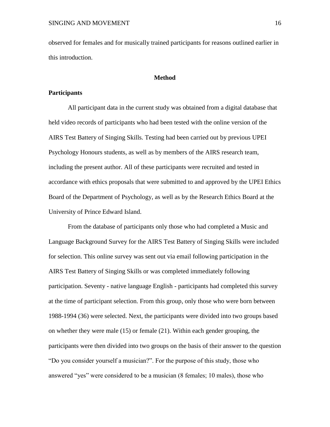observed for females and for musically trained participants for reasons outlined earlier in this introduction.

#### **Method**

# **Participants**

All participant data in the current study was obtained from a digital database that held video records of participants who had been tested with the online version of the AIRS Test Battery of Singing Skills. Testing had been carried out by previous UPEI Psychology Honours students, as well as by members of the AIRS research team, including the present author. All of these participants were recruited and tested in accordance with ethics proposals that were submitted to and approved by the UPEI Ethics Board of the Department of Psychology, as well as by the Research Ethics Board at the University of Prince Edward Island.

From the database of participants only those who had completed a Music and Language Background Survey for the AIRS Test Battery of Singing Skills were included for selection. This online survey was sent out via email following participation in the AIRS Test Battery of Singing Skills or was completed immediately following participation. Seventy - native language English - participants had completed this survey at the time of participant selection. From this group, only those who were born between 1988-1994 (36) were selected. Next, the participants were divided into two groups based on whether they were male (15) or female (21). Within each gender grouping, the participants were then divided into two groups on the basis of their answer to the question "Do you consider yourself a musician?". For the purpose of this study, those who answered "yes" were considered to be a musician (8 females; 10 males), those who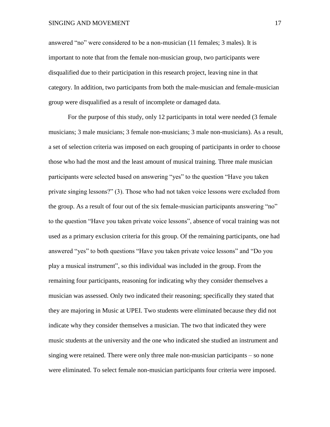#### SINGING AND MOVEMENT 17

answered "no" were considered to be a non-musician (11 females; 3 males). It is important to note that from the female non-musician group, two participants were disqualified due to their participation in this research project, leaving nine in that category. In addition, two participants from both the male-musician and female-musician group were disqualified as a result of incomplete or damaged data.

For the purpose of this study, only 12 participants in total were needed (3 female musicians; 3 male musicians; 3 female non-musicians; 3 male non-musicians). As a result, a set of selection criteria was imposed on each grouping of participants in order to choose those who had the most and the least amount of musical training. Three male musician participants were selected based on answering "yes" to the question "Have you taken private singing lessons?" (3). Those who had not taken voice lessons were excluded from the group. As a result of four out of the six female-musician participants answering "no" to the question "Have you taken private voice lessons", absence of vocal training was not used as a primary exclusion criteria for this group. Of the remaining participants, one had answered "yes" to both questions "Have you taken private voice lessons" and "Do you play a musical instrument", so this individual was included in the group. From the remaining four participants, reasoning for indicating why they consider themselves a musician was assessed. Only two indicated their reasoning; specifically they stated that they are majoring in Music at UPEI. Two students were eliminated because they did not indicate why they consider themselves a musician. The two that indicated they were music students at the university and the one who indicated she studied an instrument and singing were retained. There were only three male non-musician participants – so none were eliminated. To select female non-musician participants four criteria were imposed.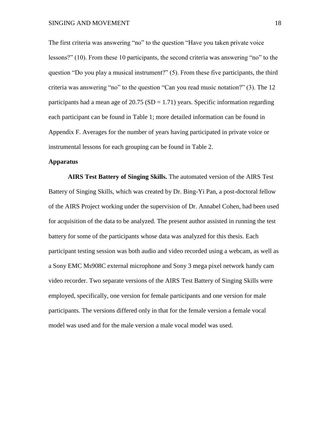The first criteria was answering "no" to the question "Have you taken private voice lessons?" (10). From these 10 participants, the second criteria was answering "no" to the question "Do you play a musical instrument?" (5). From these five participants, the third criteria was answering "no" to the question "Can you read music notation?" (3). The 12 participants had a mean age of  $20.75$  (SD = 1.71) years. Specific information regarding each participant can be found in Table 1; more detailed information can be found in Appendix F. Averages for the number of years having participated in private voice or instrumental lessons for each grouping can be found in Table 2.

#### **Apparatus**

**AIRS Test Battery of Singing Skills.** The automated version of the AIRS Test Battery of Singing Skills, which was created by Dr. Bing-Yi Pan, a post-doctoral fellow of the AIRS Project working under the supervision of Dr. Annabel Cohen, had been used for acquisition of the data to be analyzed. The present author assisted in running the test battery for some of the participants whose data was analyzed for this thesis. Each participant testing session was both audio and video recorded using a webcam, as well as a Sony EMC Ms908C external microphone and Sony 3 mega pixel network handy cam video recorder. Two separate versions of the AIRS Test Battery of Singing Skills were employed, specifically, one version for female participants and one version for male participants. The versions differed only in that for the female version a female vocal model was used and for the male version a male vocal model was used.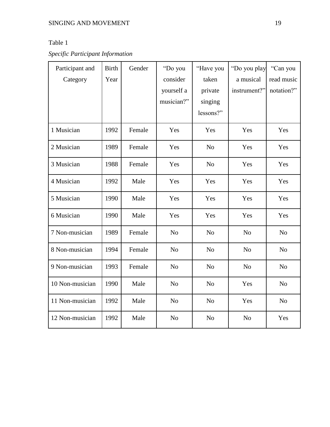# Table 1

*Specific Participant Information*

| Participant and | <b>Birth</b> | Gender | "Do you        | "Have you      | "Do you play   | "Can you       |
|-----------------|--------------|--------|----------------|----------------|----------------|----------------|
| Category        | Year         |        | consider       | taken          | a musical      | read music     |
|                 |              |        | yourself a     | private        | instrument?"   | notation?"     |
|                 |              |        | musician?"     | singing        |                |                |
|                 |              |        |                | lessons?"      |                |                |
| 1 Musician      | 1992         | Female | Yes            | Yes            | Yes            | Yes            |
| 2 Musician      | 1989         | Female | Yes            | N <sub>o</sub> | Yes            | Yes            |
| 3 Musician      | 1988         | Female | Yes            | No             | Yes            | Yes            |
| 4 Musician      | 1992         | Male   | Yes            | Yes            | Yes            | Yes            |
| 5 Musician      | 1990         | Male   | Yes            | Yes            | Yes            | Yes            |
| 6 Musician      | 1990         | Male   | Yes            | Yes            | Yes            | Yes            |
| 7 Non-musician  | 1989         | Female | N <sub>o</sub> | N <sub>o</sub> | N <sub>o</sub> | N <sub>o</sub> |
| 8 Non-musician  | 1994         | Female | N <sub>o</sub> | N <sub>o</sub> | N <sub>o</sub> | N <sub>o</sub> |
| 9 Non-musician  | 1993         | Female | N <sub>o</sub> | N <sub>o</sub> | N <sub>o</sub> | N <sub>o</sub> |
| 10 Non-musician | 1990         | Male   | N <sub>o</sub> | N <sub>o</sub> | Yes            | N <sub>o</sub> |
| 11 Non-musician | 1992         | Male   | N <sub>o</sub> | N <sub>o</sub> | Yes            | N <sub>o</sub> |
| 12 Non-musician | 1992         | Male   | N <sub>o</sub> | N <sub>o</sub> | N <sub>o</sub> | Yes            |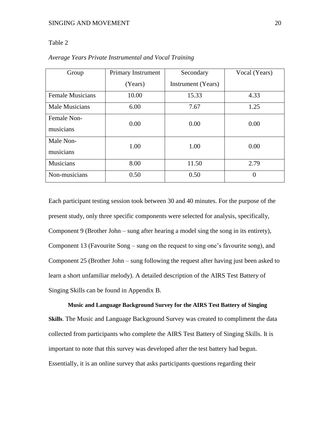# Table 2

| Group                    | Primary Instrument | Secondary          | Vocal (Years) |
|--------------------------|--------------------|--------------------|---------------|
|                          | (Years)            | Instrument (Years) |               |
| <b>Female Musicians</b>  | 10.00              | 15.33              | 4.33          |
| <b>Male Musicians</b>    | 6.00               | 7.67               | 1.25          |
| Female Non-<br>musicians | 0.00               | 0.00               | 0.00          |
| Male Non-<br>musicians   | 1.00               | 1.00               | 0.00          |
| Musicians                | 8.00               | 11.50              | 2.79          |
| Non-musicians            | 0.50               | 0.50               | ∩             |

*Average Years Private Instrumental and Vocal Training* 

Each participant testing session took between 30 and 40 minutes. For the purpose of the present study, only three specific components were selected for analysis, specifically, Component 9 (Brother John – sung after hearing a model sing the song in its entirety), Component 13 (Favourite Song – sung on the request to sing one's favourite song), and Component 25 (Brother John – sung following the request after having just been asked to learn a short unfamiliar melody). A detailed description of the AIRS Test Battery of Singing Skills can be found in Appendix B.

**Music and Language Background Survey for the AIRS Test Battery of Singing Skills**. The Music and Language Background Survey was created to compliment the data collected from participants who complete the AIRS Test Battery of Singing Skills. It is important to note that this survey was developed after the test battery had begun. Essentially, it is an online survey that asks participants questions regarding their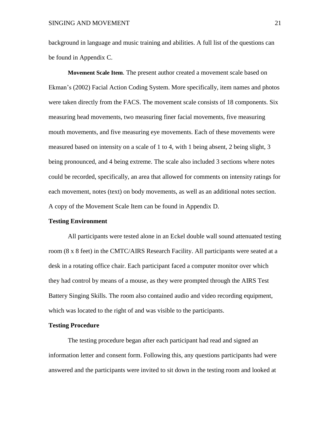background in language and music training and abilities. A full list of the questions can be found in Appendix C.

**Movement Scale Item***.* The present author created a movement scale based on Ekman's (2002) Facial Action Coding System. More specifically, item names and photos were taken directly from the FACS. The movement scale consists of 18 components. Six measuring head movements, two measuring finer facial movements, five measuring mouth movements, and five measuring eye movements. Each of these movements were measured based on intensity on a scale of 1 to 4, with 1 being absent, 2 being slight, 3 being pronounced, and 4 being extreme. The scale also included 3 sections where notes could be recorded, specifically, an area that allowed for comments on intensity ratings for each movement, notes (text) on body movements, as well as an additional notes section. A copy of the Movement Scale Item can be found in Appendix D.

#### **Testing Environment**

All participants were tested alone in an Eckel double wall sound attenuated testing room (8 x 8 feet) in the CMTC/AIRS Research Facility. All participants were seated at a desk in a rotating office chair. Each participant faced a computer monitor over which they had control by means of a mouse, as they were prompted through the AIRS Test Battery Singing Skills. The room also contained audio and video recording equipment, which was located to the right of and was visible to the participants.

#### **Testing Procedure**

The testing procedure began after each participant had read and signed an information letter and consent form. Following this, any questions participants had were answered and the participants were invited to sit down in the testing room and looked at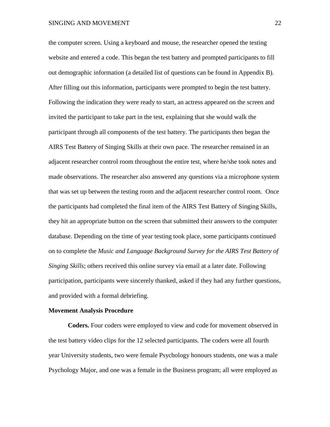the computer screen. Using a keyboard and mouse, the researcher opened the testing website and entered a code. This began the test battery and prompted participants to fill out demographic information (a detailed list of questions can be found in Appendix B). After filling out this information, participants were prompted to begin the test battery. Following the indication they were ready to start, an actress appeared on the screen and invited the participant to take part in the test, explaining that she would walk the participant through all components of the test battery. The participants then began the AIRS Test Battery of Singing Skills at their own pace. The researcher remained in an adjacent researcher control room throughout the entire test, where he/she took notes and made observations. The researcher also answered any questions via a microphone system that was set up between the testing room and the adjacent researcher control room. Once the participants had completed the final item of the AIRS Test Battery of Singing Skills, they hit an appropriate button on the screen that submitted their answers to the computer database. Depending on the time of year testing took place, some participants continued on to complete the *Music and Language Background Survey for the AIRS Test Battery of Singing Skills*; others received this online survey via email at a later date. Following participation, participants were sincerely thanked, asked if they had any further questions, and provided with a formal debriefing.

#### **Movement Analysis Procedure**

**Coders.** Four coders were employed to view and code for movement observed in the test battery video clips for the 12 selected participants. The coders were all fourth year University students, two were female Psychology honours students, one was a male Psychology Major, and one was a female in the Business program; all were employed as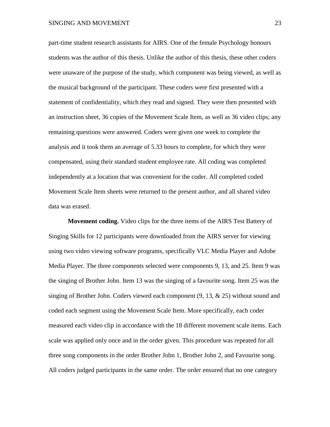part-time student research assistants for AIRS. One of the female Psychology honours students was the author of this thesis. Unlike the author of this thesis, these other coders were unaware of the purpose of the study, which component was being viewed, as well as the musical background of the participant. These coders were first presented with a statement of confidentiality, which they read and signed. They were then presented with an instruction sheet, 36 copies of the Movement Scale Item, as well as 36 video clips; any remaining questions were answered. Coders were given one week to complete the analysis and it took them an average of 5.33 hours to complete, for which they were compensated, using their standard student employee rate. All coding was completed independently at a location that was convenient for the coder. All completed coded Movement Scale Item sheets were returned to the present author, and all shared video data was erased.

**Movement coding.** Video clips for the three items of the AIRS Test Battery of Singing Skills for 12 participants were downloaded from the AIRS server for viewing using two video viewing software programs, specifically VLC Media Player and Adobe Media Player. The three components selected were components 9, 13, and 25. Item 9 was the singing of Brother John. Item 13 was the singing of a favourite song. Item 25 was the singing of Brother John. Coders viewed each component (9, 13, & 25) without sound and coded each segment using the Movement Scale Item. More specifically, each coder measured each video clip in accordance with the 18 different movement scale items. Each scale was applied only once and in the order given. This procedure was repeated for all three song components in the order Brother John 1, Brother John 2, and Favourite song. All coders judged participants in the same order. The order ensured that no one category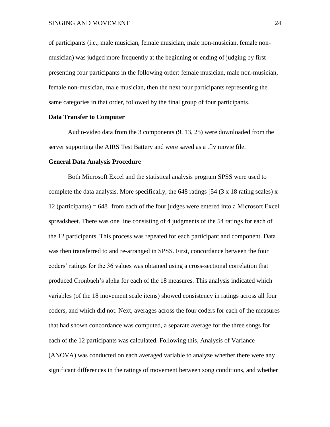of participants (i.e., male musician, female musician, male non-musician, female nonmusician) was judged more frequently at the beginning or ending of judging by first presenting four participants in the following order: female musician, male non-musician, female non-musician, male musician, then the next four participants representing the same categories in that order, followed by the final group of four participants.

#### **Data Transfer to Computer**

Audio-video data from the 3 components (9, 13, 25) were downloaded from the server supporting the AIRS Test Battery and were saved as a .flv movie file.

#### **General Data Analysis Procedure**

Both Microsoft Excel and the statistical analysis program SPSS were used to complete the data analysis. More specifically, the 648 ratings [54  $(3 \times 18)$  rating scales) x 12 (participants) = 648] from each of the four judges were entered into a Microsoft Excel spreadsheet. There was one line consisting of 4 judgments of the 54 ratings for each of the 12 participants. This process was repeated for each participant and component. Data was then transferred to and re-arranged in SPSS. First, concordance between the four coders' ratings for the 36 values was obtained using a cross-sectional correlation that produced Cronbach's alpha for each of the 18 measures. This analysis indicated which variables (of the 18 movement scale items) showed consistency in ratings across all four coders, and which did not. Next, averages across the four coders for each of the measures that had shown concordance was computed, a separate average for the three songs for each of the 12 participants was calculated. Following this, Analysis of Variance (ANOVA) was conducted on each averaged variable to analyze whether there were any significant differences in the ratings of movement between song conditions, and whether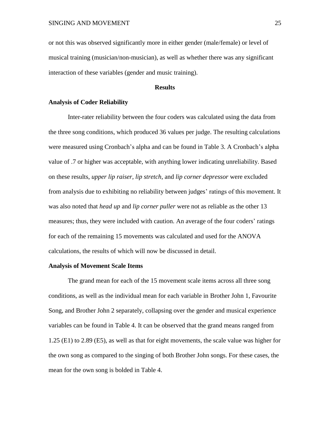or not this was observed significantly more in either gender (male/female) or level of musical training (musician/non-musician), as well as whether there was any significant interaction of these variables (gender and music training).

#### **Results**

#### **Analysis of Coder Reliability**

Inter-rater reliability between the four coders was calculated using the data from the three song conditions, which produced 36 values per judge. The resulting calculations were measured using Cronbach's alpha and can be found in Table 3. A Cronbach's alpha value of .7 or higher was acceptable, with anything lower indicating unreliability. Based on these results, *upper lip raiser, lip stretch*, and *lip corner depressor* were excluded from analysis due to exhibiting no reliability between judges' ratings of this movement. It was also noted that *head up* and *lip corner puller* were not as reliable as the other 13 measures; thus, they were included with caution. An average of the four coders' ratings for each of the remaining 15 movements was calculated and used for the ANOVA calculations, the results of which will now be discussed in detail.

#### **Analysis of Movement Scale Items**

The grand mean for each of the 15 movement scale items across all three song conditions, as well as the individual mean for each variable in Brother John 1, Favourite Song, and Brother John 2 separately, collapsing over the gender and musical experience variables can be found in Table 4. It can be observed that the grand means ranged from 1.25 (E1) to 2.89 (E5), as well as that for eight movements, the scale value was higher for the own song as compared to the singing of both Brother John songs. For these cases, the mean for the own song is bolded in Table 4.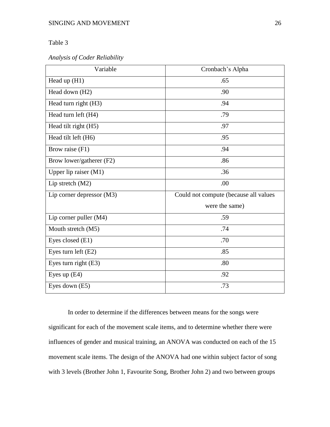# Table 3

*Analysis of Coder Reliability* 

| Variable                    | Cronbach's Alpha                      |  |  |
|-----------------------------|---------------------------------------|--|--|
| Head up $(H1)$              | .65                                   |  |  |
| Head down (H2)              | .90                                   |  |  |
| Head turn right (H3)        | .94                                   |  |  |
| Head turn left (H4)         | .79                                   |  |  |
| Head tilt right (H5)        | .97                                   |  |  |
| Head tilt left (H6)         | .95                                   |  |  |
| Brow raise (F1)             | .94                                   |  |  |
| Brow lower/gatherer (F2)    | .86                                   |  |  |
| Upper lip raiser $(M1)$     | .36                                   |  |  |
| Lip stretch (M2)            | .00                                   |  |  |
| Lip corner depressor $(M3)$ | Could not compute (because all values |  |  |
|                             | were the same)                        |  |  |
| Lip corner puller (M4)      | .59                                   |  |  |
| Mouth stretch (M5)          | .74                                   |  |  |
| Eyes closed (E1)            | .70                                   |  |  |
| Eyes turn left (E2)         | .85                                   |  |  |
| Eyes turn right (E3)        | .80                                   |  |  |
| Eyes up $(E4)$              | .92                                   |  |  |
| Eyes down (E5)              | .73                                   |  |  |

In order to determine if the differences between means for the songs were significant for each of the movement scale items, and to determine whether there were influences of gender and musical training, an ANOVA was conducted on each of the 15 movement scale items. The design of the ANOVA had one within subject factor of song with 3 levels (Brother John 1, Favourite Song, Brother John 2) and two between groups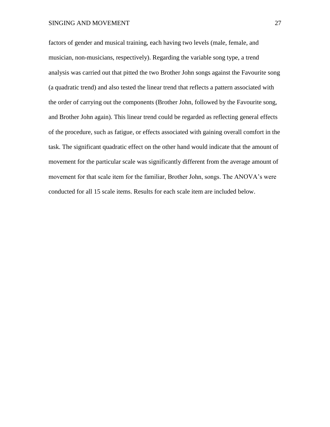#### SINGING AND MOVEMENT 27

factors of gender and musical training, each having two levels (male, female, and musician, non-musicians, respectively). Regarding the variable song type, a trend analysis was carried out that pitted the two Brother John songs against the Favourite song (a quadratic trend) and also tested the linear trend that reflects a pattern associated with the order of carrying out the components (Brother John, followed by the Favourite song, and Brother John again). This linear trend could be regarded as reflecting general effects of the procedure, such as fatigue, or effects associated with gaining overall comfort in the task. The significant quadratic effect on the other hand would indicate that the amount of movement for the particular scale was significantly different from the average amount of movement for that scale item for the familiar, Brother John, songs. The ANOVA's were conducted for all 15 scale items. Results for each scale item are included below.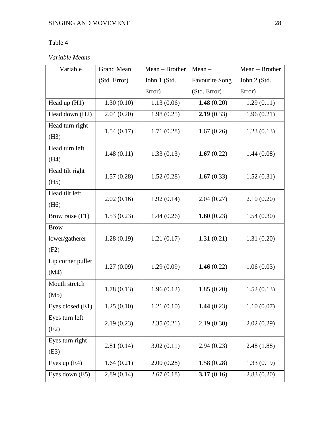# Table 4

# *Variable Means*

| Variable          | <b>Grand Mean</b> | Mean - Brother | $Mean -$              | Mean - Brother |  |
|-------------------|-------------------|----------------|-----------------------|----------------|--|
|                   | (Std. Error)      | John 1 (Std.   | <b>Favourite Song</b> | John 2 (Std.   |  |
|                   |                   | Error)         | (Std. Error)          | Error)         |  |
| Head up $(H1)$    | 1.30(0.10)        | 1.13(0.06)     | 1.48 $(0.20)$         | 1.29(0.11)     |  |
| Head down (H2)    | 2.04(0.20)        | 1.98(0.25)     | 2.19(0.33)            | 1.96(0.21)     |  |
| Head turn right   | 1.54(0.17)        | 1.71(0.28)     | 1.67(0.26)            | 1.23(0.13)     |  |
| (H3)              |                   |                |                       |                |  |
| Head turn left    | 1.48(0.11)        | 1.33(0.13)     | 1.67 $(0.22)$         | 1.44(0.08)     |  |
| (H4)              |                   |                |                       |                |  |
| Head tilt right   | 1.57(0.28)        | 1.52(0.28)     | 1.67 $(0.33)$         | 1.52(0.31)     |  |
| (H5)              |                   |                |                       |                |  |
| Head tilt left    | 2.02(0.16)        | 1.92(0.14)     | 2.04(0.27)            | 2.10(0.20)     |  |
| (H6)              |                   |                |                       |                |  |
| Brow raise (F1)   | 1.53(0.23)        | 1.44(0.26)     | 1.60 $(0.23)$         | 1.54(0.30)     |  |
| <b>Brow</b>       |                   |                |                       |                |  |
| lower/gatherer    | 1.28(0.19)        | 1.21(0.17)     | 1.31(0.21)            | 1.31(0.20)     |  |
| (F2)              |                   |                |                       |                |  |
| Lip corner puller | 1.27(0.09)        | 1.29(0.09)     | 1.46 $(0.22)$         | 1.06(0.03)     |  |
| (M4)              |                   |                |                       |                |  |
| Mouth stretch     | 1.78(0.13)        | 1.96(0.12)     | 1.85(0.20)            | 1.52(0.13)     |  |
| (M5)              |                   |                |                       |                |  |
| Eyes closed (E1)  | 1.25(0.10)        | 1.21(0.10)     | 1.44(0.23)            | 1.10(0.07)     |  |
| Eyes turn left    | 2.19(0.23)        | 2.35(0.21)     | 2.19(0.30)            | 2.02(0.29)     |  |
| (E2)              |                   |                |                       |                |  |
| Eyes turn right   | 2.81(0.14)        | 3.02(0.11)     | 2.94(0.23)            | 2.48 (1.88)    |  |
| (E3)              |                   |                |                       |                |  |
| Eyes up $(E4)$    | 1.64(0.21)        | 2.00(0.28)     | 1.58(0.28)            | 1.33(0.19)     |  |
| Eyes down (E5)    | 2.89(0.14)        | 2.67(0.18)     | 3.17(0.16)            | 2.83(0.20)     |  |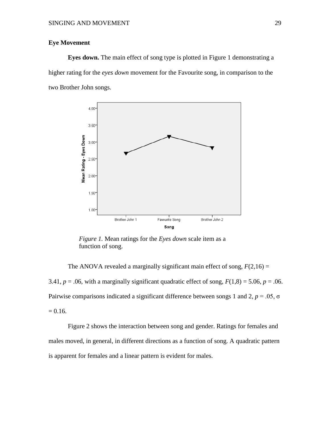# **Eye Movement**

**Eyes down.** The main effect of song type is plotted in Figure 1 demonstrating a higher rating for the *eyes down* movement for the Favourite song, in comparison to the two Brother John songs.



*Figure 1.* Mean ratings for the *Eyes down* scale item as a function of song.

The ANOVA revealed a marginally significant main effect of song,  $F(2,16) =$ 3.41,  $p = .06$ , with a marginally significant quadratic effect of song,  $F(1,8) = 5.06$ ,  $p = .06$ . Pairwise comparisons indicated a significant difference between songs 1 and 2,  $p = .05$ ,  $\sigma$  $= 0.16.$ 

Figure 2 shows the interaction between song and gender. Ratings for females and males moved, in general, in different directions as a function of song. A quadratic pattern is apparent for females and a linear pattern is evident for males.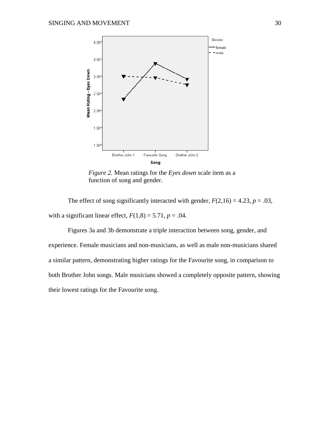

*Figure 2.* Mean ratings for the *Eyes down* scale item as a function of song and gender.

The effect of song significantly interacted with gender,  $F(2,16) = 4.23$ ,  $p = .03$ , with a significant linear effect,  $F(1,8) = 5.71$ ,  $p = .04$ .

Figures 3a and 3b demonstrate a triple interaction between song, gender, and experience. Female musicians and non-musicians, as well as male non-musicians shared a similar pattern, demonstrating higher ratings for the Favourite song, in comparison to both Brother John songs. Male musicians showed a completely opposite pattern, showing their lowest ratings for the Favourite song.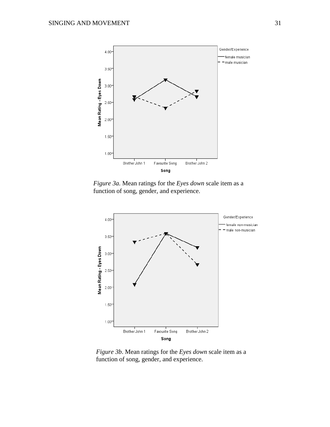

*Figure 3a.* Mean ratings for the *Eyes down* scale item as a function of song, gender, and experience.



*Figure 3b*. Mean ratings for the *Eyes down* scale item as a function of song, gender, and experience.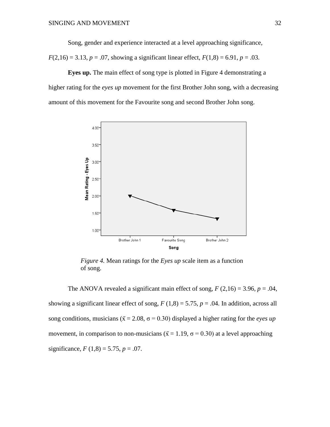Song, gender and experience interacted at a level approaching significance,

 $F(2,16) = 3.13, p = .07$ , showing a significant linear effect,  $F(1,8) = 6.91, p = .03$ .

**Eyes up.** The main effect of song type is plotted in Figure 4 demonstrating a higher rating for the *eyes up* movement for the first Brother John song, with a decreasing amount of this movement for the Favourite song and second Brother John song.



*Figure 4.* Mean ratings for the *Eyes up* scale item as a function of song.

The ANOVA revealed a significant main effect of song,  $F(2,16) = 3.96$ ,  $p = .04$ , showing a significant linear effect of song,  $F(1,8) = 5.75$ ,  $p = .04$ . In addition, across all song conditions, musicians ( $\bar{x} = 2.08$ ,  $\sigma = 0.30$ ) displayed a higher rating for the *eyes up* movement, in comparison to non-musicians ( $\bar{x}$  = 1.19,  $\sigma$  = 0.30) at a level approaching significance,  $F(1,8) = 5.75, p = .07$ .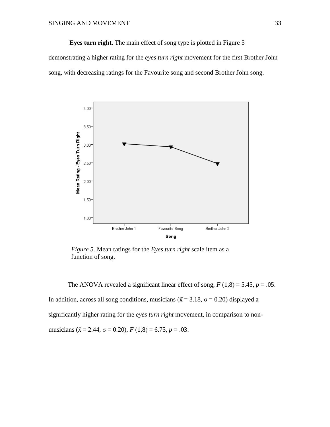**Eyes turn right**. The main effect of song type is plotted in Figure 5

demonstrating a higher rating for the *eyes turn right* movement for the first Brother John song, with decreasing ratings for the Favourite song and second Brother John song.



*Figure 5.* Mean ratings for the *Eyes turn right* scale item as a function of song.

The ANOVA revealed a significant linear effect of song,  $F(1,8) = 5.45$ ,  $p = .05$ . In addition, across all song conditions, musicians ( $\bar{x}$  = 3.18,  $\sigma$  = 0.20) displayed a significantly higher rating for the *eyes turn right* movement, in comparison to nonmusicians ( $\bar{x}$  = 2.44,  $\sigma$  = 0.20),  $F(1,8)$  = 6.75,  $p$  = .03.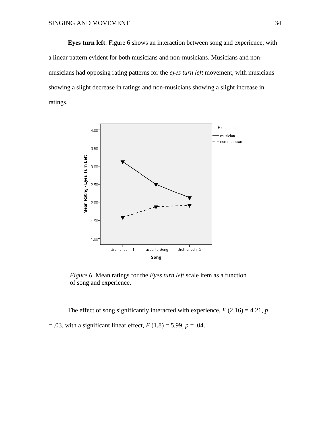**Eyes turn left**. Figure 6 shows an interaction between song and experience, with a linear pattern evident for both musicians and non-musicians. Musicians and nonmusicians had opposing rating patterns for the *eyes turn left* movement, with musicians showing a slight decrease in ratings and non-musicians showing a slight increase in ratings.



*Figure 6.* Mean ratings for the *Eyes turn left* scale item as a function of song and experience.

The effect of song significantly interacted with experience,  $F(2,16) = 4.21$ ,  $p$ 

 $= .03$ , with a significant linear effect,  $F(1,8) = 5.99$ ,  $p = .04$ .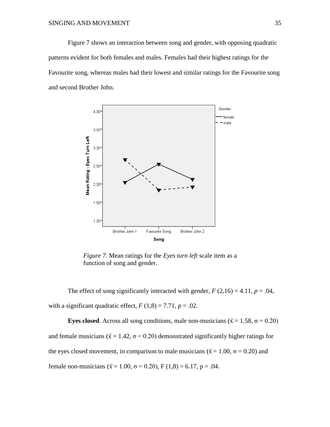Figure 7 shows an interaction between song and gender, with opposing quadratic patterns evident for both females and males. Females had their highest ratings for the Favourite song, whereas males had their lowest and similar ratings for the Favourite song and second Brother John.



*Figure 7.* Mean ratings for the *Eyes turn left* scale item as a function of song and gender.

The effect of song significantly interacted with gender,  $F(2,16) = 4.11$ ,  $p = .04$ , with a significant quadratic effect,  $F(1,8) = 7.71$ ,  $p = .02$ .

**Eyes closed**. Across all song conditions, male non-musicians ( $\bar{x} = 1.58$ ,  $\sigma = 0.20$ ) and female musicians ( $\bar{x}$  = 1.42,  $\sigma$  = 0.20) demonstrated significantly higher ratings for the eyes closed movement, in comparison to male musicians ( $\bar{x} = 1.00$ ,  $\sigma = 0.20$ ) and female non-musicians ( $\bar{x}$  = 1.00,  $\sigma$  = 0.20), F (1,8) = 6.17, p = .04.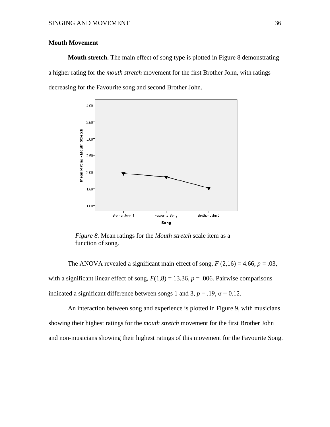# **Mouth Movement**

**Mouth stretch.** The main effect of song type is plotted in Figure 8 demonstrating a higher rating for the *mouth stretch* movement for the first Brother John, with ratings decreasing for the Favourite song and second Brother John.



*Figure 8.* Mean ratings for the *Mouth stretch* scale item as a function of song.

The ANOVA revealed a significant main effect of song,  $F(2,16) = 4.66$ ,  $p = .03$ , with a significant linear effect of song,  $F(1,8) = 13.36$ ,  $p = .006$ . Pairwise comparisons indicated a significant difference between songs 1 and 3,  $p = .19$ ,  $\sigma = 0.12$ .

An interaction between song and experience is plotted in Figure 9, with musicians showing their highest ratings for the *mouth stretch* movement for the first Brother John and non-musicians showing their highest ratings of this movement for the Favourite Song.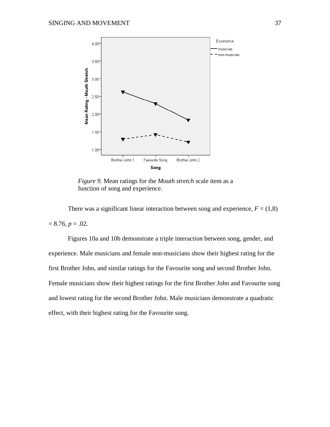

*Figure 9.* Mean ratings for the *Mouth stretch* scale item as a function of song and experience.

There was a significant linear interaction between song and experience,  $F = (1,8)$  $= 8.76, p = .02.$ 

Figures 10a and 10b demonstrate a triple interaction between song, gender, and experience. Male musicians and female non-musicians show their highest rating for the first Brother John, and similar ratings for the Favourite song and second Brother John. Female musicians show their highest ratings for the first Brother John and Favourite song and lowest rating for the second Brother John. Male musicians demonstrate a quadratic effect, with their highest rating for the Favourite song.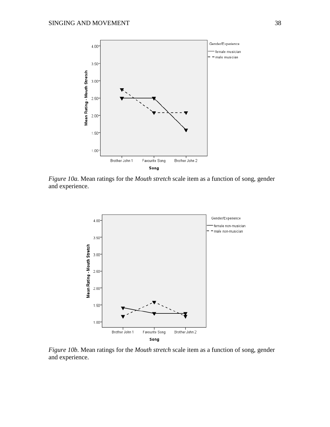

*Figure 10a.* Mean ratings for the *Mouth stretch* scale item as a function of song, gender and experience.



*Figure 10b.* Mean ratings for the *Mouth stretch* scale item as a function of song, gender and experience.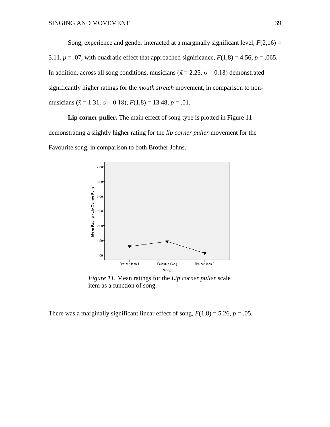Song, experience and gender interacted at a marginally significant level,  $F(2,16) =$ 3.11,  $p = .07$ , with quadratic effect that approached significance,  $F(1,8) = 4.56$ ,  $p = .065$ . In addition, across all song conditions, musicians ( $\bar{x} = 2.25$ ,  $\sigma = 0.18$ ) demonstrated significantly higher ratings for the *mouth stretch* movement, in comparison to nonmusicians ( $\bar{x}$  = 1.31,  $\sigma$  = 0.18),  $F(1,8)$  = 13.48,  $p$  = .01.

Lip corner puller. The main effect of song type is plotted in Figure 11 demonstrating a slightly higher rating for the *lip corner puller* movement for the Favourite song, in comparison to both Brother Johns.



*Figure 11.* Mean ratings for the *Lip corner puller* scale item as a function of song.

There was a marginally significant linear effect of song,  $F(1,8) = 5.26$ ,  $p = .05$ .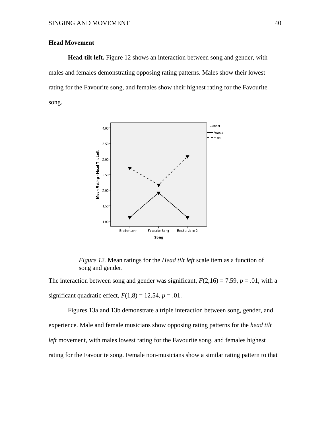# **Head Movement**

**Head tilt left.** Figure 12 shows an interaction between song and gender, with males and females demonstrating opposing rating patterns. Males show their lowest rating for the Favourite song, and females show their highest rating for the Favourite song.



*Figure 12.* Mean ratings for the *Head tilt left* scale item as a function of song and gender.

The interaction between song and gender was significant,  $F(2,16) = 7.59$ ,  $p = .01$ , with a significant quadratic effect,  $F(1,8) = 12.54$ ,  $p = .01$ .

Figures 13a and 13b demonstrate a triple interaction between song, gender, and experience. Male and female musicians show opposing rating patterns for the *head tilt left* movement, with males lowest rating for the Favourite song, and females highest rating for the Favourite song. Female non-musicians show a similar rating pattern to that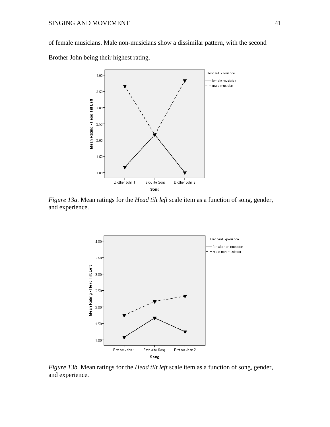of female musicians. Male non-musicians show a dissimilar pattern, with the second

Brother John being their highest rating.



*Figure 13a.* Mean ratings for the *Head tilt left* scale item as a function of song, gender, and experience.



*Figure 13b.* Mean ratings for the *Head tilt left* scale item as a function of song, gender, and experience.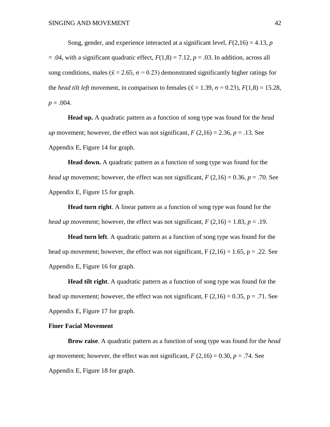Song, gender, and experience interacted at a significant level,  $F(2,16) = 4.13$ , *p*  $= .04$ , with a significant quadratic effect,  $F(1,8) = 7.12$ ,  $p = .03$ . In addition, across all song conditions, males ( $\bar{x} = 2.65$ ,  $\sigma = 0.23$ ) demonstrated significantly higher ratings for the *head tilt left* movement, in comparison to females ( $\bar{x} = 1.39$ ,  $\sigma = 0.23$ ),  $F(1.8) = 15.28$ ,  $p = .004$ .

**Head up.** A quadratic pattern as a function of song type was found for the *head up* movement; however, the effect was not significant,  $F(2,16) = 2.36$ ,  $p = .13$ . See Appendix E, Figure 14 for graph.

**Head down.** A quadratic pattern as a function of song type was found for the *head up* movement; however, the effect was not significant,  $F(2,16) = 0.36$ ,  $p = .70$ . See Appendix E, Figure 15 for graph.

**Head turn right**. A linear pattern as a function of song type was found for the *head up* movement; however, the effect was not significant,  $F(2,16) = 1.83$ ,  $p = .19$ .

**Head turn left**. A quadratic pattern as a function of song type was found for the head up movement; however, the effect was not significant,  $F(2,16) = 1.65$ ,  $p = .22$ . See Appendix E, Figure 16 for graph.

**Head tilt right**. A quadratic pattern as a function of song type was found for the head up movement; however, the effect was not significant,  $F(2,16) = 0.35$ ,  $p = .71$ . See Appendix E, Figure 17 for graph.

# **Finer Facial Movement**

**Brow raise**. A quadratic pattern as a function of song type was found for the *head up* movement; however, the effect was not significant,  $F(2,16) = 0.30$ ,  $p = .74$ . See Appendix E, Figure 18 for graph.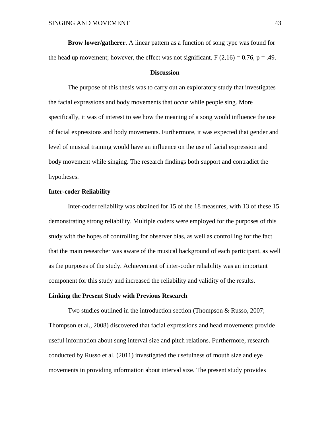**Brow lower/gatherer**. A linear pattern as a function of song type was found for the head up movement; however, the effect was not significant,  $F(2,16) = 0.76$ ,  $p = .49$ .

#### **Discussion**

The purpose of this thesis was to carry out an exploratory study that investigates the facial expressions and body movements that occur while people sing. More specifically, it was of interest to see how the meaning of a song would influence the use of facial expressions and body movements. Furthermore, it was expected that gender and level of musical training would have an influence on the use of facial expression and body movement while singing. The research findings both support and contradict the hypotheses.

#### **Inter-coder Reliability**

Inter-coder reliability was obtained for 15 of the 18 measures, with 13 of these 15 demonstrating strong reliability. Multiple coders were employed for the purposes of this study with the hopes of controlling for observer bias, as well as controlling for the fact that the main researcher was aware of the musical background of each participant, as well as the purposes of the study. Achievement of inter-coder reliability was an important component for this study and increased the reliability and validity of the results.

#### **Linking the Present Study with Previous Research**

Two studies outlined in the introduction section (Thompson & Russo, 2007; Thompson et al., 2008) discovered that facial expressions and head movements provide useful information about sung interval size and pitch relations. Furthermore, research conducted by Russo et al. (2011) investigated the usefulness of mouth size and eye movements in providing information about interval size. The present study provides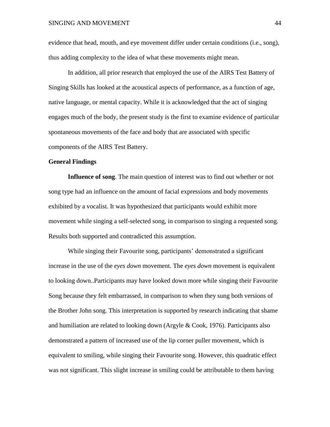evidence that head, mouth, and eye movement differ under certain conditions (i.e., song), thus adding complexity to the idea of what these movements might mean.

In addition, all prior research that employed the use of the AIRS Test Battery of Singing Skills has looked at the acoustical aspects of performance, as a function of age, native language, or mental capacity. While it is acknowledged that the act of singing engages much of the body, the present study is the first to examine evidence of particular spontaneous movements of the face and body that are associated with specific components of the AIRS Test Battery.

#### **General Findings**

**Influence of song**. The main question of interest was to find out whether or not song type had an influence on the amount of facial expressions and body movements exhibited by a vocalist. It was hypothesized that participants would exhibit more movement while singing a self-selected song, in comparison to singing a requested song. Results both supported and contradicted this assumption.

While singing their Favourite song, participants' demonstrated a significant increase in the use of the *eyes down* movement. The *eyes down* movement is equivalent to looking down..Participants may have looked down more while singing their Favourite Song because they felt embarrassed, in comparison to when they sung both versions of the Brother John song. This interpretation is supported by research indicating that shame and humiliation are related to looking down (Argyle & Cook, 1976). Participants also demonstrated a pattern of increased use of the lip corner puller movement, which is equivalent to smiling, while singing their Favourite song. However, this quadratic effect was not significant. This slight increase in smiling could be attributable to them having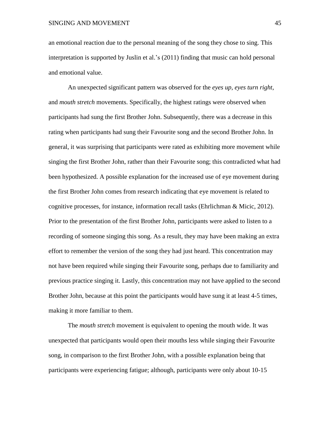an emotional reaction due to the personal meaning of the song they chose to sing. This interpretation is supported by Juslin et al.'s (2011) finding that music can hold personal and emotional value.

An unexpected significant pattern was observed for the *eyes up*, *eyes turn right*, and *mouth stretch* movements. Specifically, the highest ratings were observed when participants had sung the first Brother John. Subsequently, there was a decrease in this rating when participants had sung their Favourite song and the second Brother John. In general, it was surprising that participants were rated as exhibiting more movement while singing the first Brother John, rather than their Favourite song; this contradicted what had been hypothesized. A possible explanation for the increased use of eye movement during the first Brother John comes from research indicating that eye movement is related to cognitive processes, for instance, information recall tasks (Ehrlichman & Micic, 2012). Prior to the presentation of the first Brother John, participants were asked to listen to a recording of someone singing this song. As a result, they may have been making an extra effort to remember the version of the song they had just heard. This concentration may not have been required while singing their Favourite song, perhaps due to familiarity and previous practice singing it. Lastly, this concentration may not have applied to the second Brother John, because at this point the participants would have sung it at least 4-5 times, making it more familiar to them.

The *mouth stretch* movement is equivalent to opening the mouth wide. It was unexpected that participants would open their mouths less while singing their Favourite song, in comparison to the first Brother John, with a possible explanation being that participants were experiencing fatigue; although, participants were only about 10-15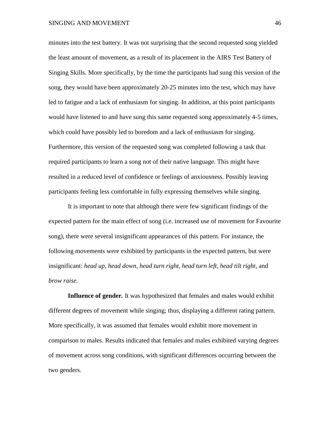minutes into the test battery. It was not surprising that the second requested song yielded the least amount of movement, as a result of its placement in the AIRS Test Battery of Singing Skills. More specifically, by the time the participants had sung this version of the song, they would have been approximately 20-25 minutes into the test, which may have led to fatigue and a lack of enthusiasm for singing. In addition, at this point participants would have listened to and have sung this same requested song approximately 4-5 times, which could have possibly led to boredom and a lack of enthusiasm for singing. Furthermore, this version of the requested song was completed following a task that required participants to learn a song not of their native language. This might have resulted in a reduced level of confidence or feelings of anxiousness. Possibly leaving participants feeling less comfortable in fully expressing themselves while singing.

It is important to note that although there were few significant findings of the expected pattern for the main effect of song (i.e. increased use of movement for Favourite song), there were several insignificant appearances of this pattern. For instance, the following movements were exhibited by participants in the expected pattern, but were insignificant: *head up, head down, head turn right, head turn left, head tilt right,* and *brow raise.*

**Influence of gender***.* It was hypothesized that females and males would exhibit different degrees of movement while singing; thus, displaying a different rating pattern. More specifically, it was assumed that females would exhibit more movement in comparison to males. Results indicated that females and males exhibited varying degrees of movement across song conditions, with significant differences occurring between the two genders.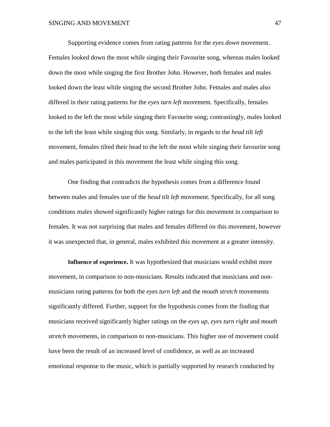Supporting evidence comes from rating patterns for the *eyes down* movement. Females looked down the most while singing their Favourite song, whereas males looked down the most while singing the first Brother John. However, both females and males looked down the least while singing the second Brother John. Females and males also differed in their rating patterns for the *eyes turn left* movement. Specifically, females looked to the left the most while singing their Favourite song; contrastingly, males looked to the left the least while singing this song. Similarly, in regards to the *head tilt left* movement, females tilted their head to the left the most while singing their favourite song and males participated in this movement the least while singing this song.

One finding that contradicts the hypothesis comes from a difference found between males and females use of the *head tilt left* movement. Specifically, for all song conditions males showed significantly higher ratings for this movement in comparison to females. It was not surprising that males and females differed on this movement, however it was unexpected that, in general, males exhibited this movement at a greater intensity.

**Influence of experience.** It was hypothesized that musicians would exhibit more movement, in comparison to non-musicians. Results indicated that musicians and nonmusicians rating patterns for both the *eyes turn left* and the *mouth stretch* movements significantly differed*.* Further, support for the hypothesis comes from the finding that musicians received significantly higher ratings on the *eyes up*, *eyes turn right* and *mouth stretch* movements, in comparison to non-musicians. This higher use of movement could have been the result of an increased level of confidence, as well as an increased emotional response to the music, which is partially supported by research conducted by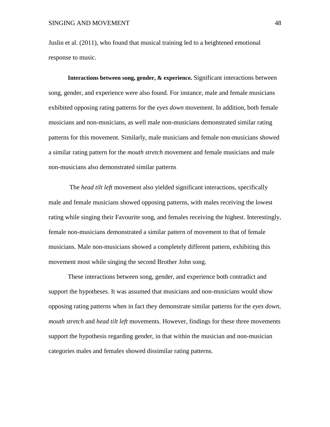Juslin et al. (2011), who found that musical training led to a heightened emotional response to music.

**Interactions between song, gender, & experience***.* Significant interactions between song, gender, and experience were also found. For instance, male and female musicians exhibited opposing rating patterns for the *eyes down* movement. In addition, both female musicians and non-musicians, as well male non-musicians demonstrated similar rating patterns for this movement. Similarly, male musicians and female non-musicians showed a similar rating pattern for the *mouth stretch* movement and female musicians and male non-musicians also demonstrated similar patterns

The *head tilt left* movement also yielded significant interactions, specifically male and female musicians showed opposing patterns, with males receiving the lowest rating while singing their Favourite song, and females receiving the highest. Interestingly, female non-musicians demonstrated a similar pattern of movement to that of female musicians. Male non-musicians showed a completely different pattern, exhibiting this movement most while singing the second Brother John song.

These interactions between song, gender, and experience both contradict and support the hypotheses. It was assumed that musicians and non-musicians would show opposing rating patterns when in fact they demonstrate similar patterns for the *eyes down, mouth stretch* and *head tilt left* movements. However, findings for these three movements support the hypothesis regarding gender, in that within the musician and non-musician categories males and females showed dissimilar rating patterns.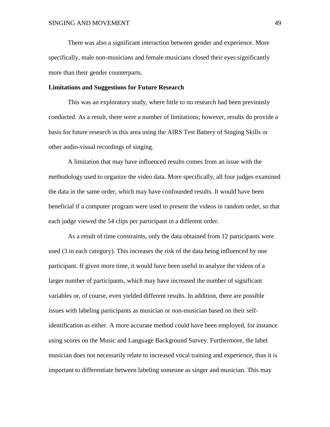There was also a significant interaction between gender and experience. More specifically, male non-musicians and female musicians closed their eyes significantly more than their gender counterparts.

#### **Limitations and Suggestions for Future Research**

This was an exploratory study, where little to no research had been previously conducted. As a result, there were a number of limitations; however, results do provide a basis for future research in this area using the AIRS Test Battery of Singing Skills or other audio-visual recordings of singing.

A limitation that may have influenced results comes from an issue with the methodology used to organize the video data. More specifically, all four judges examined the data in the same order, which may have confounded results. It would have been beneficial if a computer program were used to present the videos in random order, so that each judge viewed the 54 clips per participant in a different order.

As a result of time constraints, only the data obtained from 12 participants were used (3 in each category). This increases the risk of the data being influenced by one participant. If given more time, it would have been useful to analyze the videos of a larger number of participants, which may have increased the number of significant variables or, of course, even yielded different results. In addition, there are possible issues with labeling participants as musician or non-musician based on their selfidentification as either. A more accurate method could have been employed, for instance using scores on the Music and Language Background Survey. Furthermore, the label musician does not necessarily relate to increased vocal training and experience, thus it is important to differentiate between labeling someone as singer and musician. This may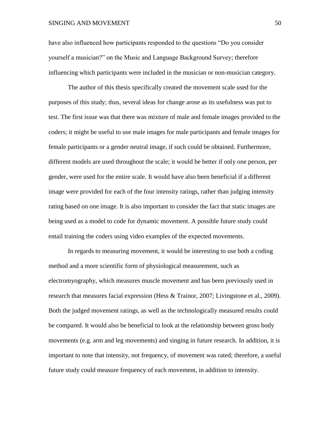#### SINGING AND MOVEMENT 50

have also influenced how participants responded to the questions "Do you consider yourself a musician?" on the Music and Language Background Survey; therefore influencing which participants were included in the musician or non-musician category.

The author of this thesis specifically created the movement scale used for the purposes of this study; thus, several ideas for change arose as its usefulness was put to test. The first issue was that there was mixture of male and female images provided to the coders; it might be useful to use male images for male participants and female images for female participants or a gender neutral image, if such could be obtained. Furthermore, different models are used throughout the scale; it would be better if only one person, per gender, were used for the entire scale. It would have also been beneficial if a different image were provided for each of the four intensity ratings, rather than judging intensity rating based on one image. It is also important to consider the fact that static images are being used as a model to code for dynamic movement. A possible future study could entail training the coders using video examples of the expected movements.

In regards to measuring movement, it would be interesting to use both a coding method and a more scientific form of physiological measurement, such as electromyography, which measures muscle movement and has been previously used in research that measures facial expression (Hess & Trainor, 2007; Livingstone et al., 2009). Both the judged movement ratings, as well as the technologically measured results could be compared. It would also be beneficial to look at the relationship between gross body movements (e.g. arm and leg movements) and singing in future research. In addition, it is important to note that intensity, not frequency, of movement was rated; therefore, a useful future study could measure frequency of each movement, in addition to intensity.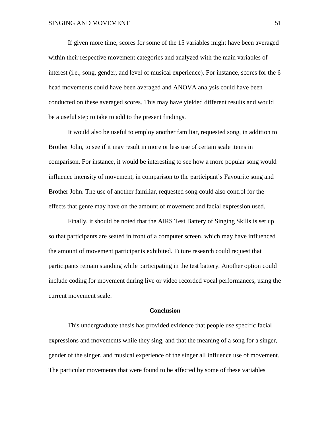If given more time, scores for some of the 15 variables might have been averaged within their respective movement categories and analyzed with the main variables of interest (i.e., song, gender, and level of musical experience). For instance, scores for the 6 head movements could have been averaged and ANOVA analysis could have been conducted on these averaged scores. This may have yielded different results and would be a useful step to take to add to the present findings.

It would also be useful to employ another familiar, requested song, in addition to Brother John, to see if it may result in more or less use of certain scale items in comparison. For instance, it would be interesting to see how a more popular song would influence intensity of movement, in comparison to the participant's Favourite song and Brother John. The use of another familiar, requested song could also control for the effects that genre may have on the amount of movement and facial expression used.

Finally, it should be noted that the AIRS Test Battery of Singing Skills is set up so that participants are seated in front of a computer screen, which may have influenced the amount of movement participants exhibited. Future research could request that participants remain standing while participating in the test battery. Another option could include coding for movement during live or video recorded vocal performances, using the current movement scale.

#### **Conclusion**

This undergraduate thesis has provided evidence that people use specific facial expressions and movements while they sing, and that the meaning of a song for a singer, gender of the singer, and musical experience of the singer all influence use of movement. The particular movements that were found to be affected by some of these variables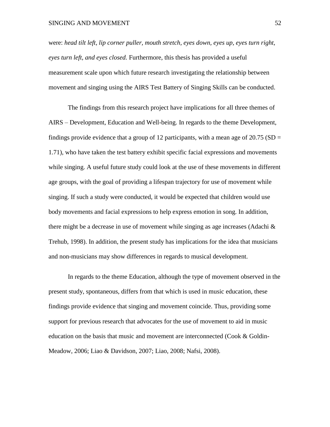#### SINGING AND MOVEMENT 52

were: *head tilt left, lip corner puller, mouth stretch, eyes down, eyes up, eyes turn right, eyes turn left, and eyes closed.* Furthermore, this thesis has provided a useful measurement scale upon which future research investigating the relationship between movement and singing using the AIRS Test Battery of Singing Skills can be conducted.

The findings from this research project have implications for all three themes of AIRS – Development, Education and Well-being. In regards to the theme Development, findings provide evidence that a group of 12 participants, with a mean age of  $20.75$  (SD = 1.71), who have taken the test battery exhibit specific facial expressions and movements while singing. A useful future study could look at the use of these movements in different age groups, with the goal of providing a lifespan trajectory for use of movement while singing. If such a study were conducted, it would be expected that children would use body movements and facial expressions to help express emotion in song. In addition, there might be a decrease in use of movement while singing as age increases (Adachi  $\&$ Trehub, 1998). In addition, the present study has implications for the idea that musicians and non-musicians may show differences in regards to musical development.

In regards to the theme Education, although the type of movement observed in the present study, spontaneous, differs from that which is used in music education, these findings provide evidence that singing and movement coincide. Thus, providing some support for previous research that advocates for the use of movement to aid in music education on the basis that music and movement are interconnected (Cook & Goldin-Meadow, 2006; Liao & Davidson, 2007; Liao, 2008; Nafsi, 2008).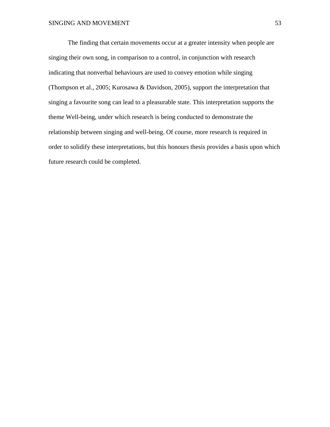The finding that certain movements occur at a greater intensity when people are singing their own song, in comparison to a control, in conjunction with research indicating that nonverbal behaviours are used to convey emotion while singing (Thompson et al., 2005; Kurosawa & Davidson, 2005), support the interpretation that singing a favourite song can lead to a pleasurable state. This interpretation supports the theme Well-being, under which research is being conducted to demonstrate the relationship between singing and well-being. Of course, more research is required in order to solidify these interpretations, but this honours thesis provides a basis upon which future research could be completed.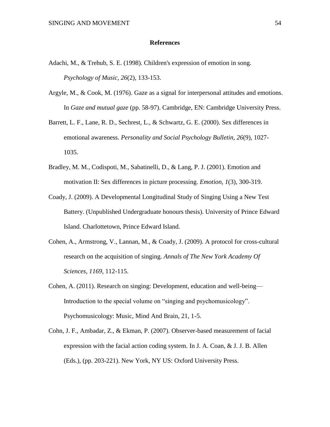#### **References**

- Adachi, M., & Trehub, S. E. (1998). Children's expression of emotion in song. *Psychology of Music, 26*(2), 133-153.
- Argyle, M., & Cook, M. (1976). Gaze as a signal for interpersonal attitudes and emotions. In *Gaze and mutual gaze* (pp. 58-97). Cambridge, EN: Cambridge University Press.
- Barrett, L. F., Lane, R. D., Sechrest, L., & Schwartz, G. E. (2000). Sex differences in emotional awareness. *Personality and Social Psychology Bulletin, 26*(9), 1027- 1035.
- Bradley, M. M., Codispoti, M., Sabatinelli, D., & Lang, P. J. (2001). Emotion and motivation II: Sex differences in picture processing. *Emotion, 1*(3), 300-319.
- Coady, J. (2009). A Developmental Longitudinal Study of Singing Using a New Test Battery. (Unpublished Undergraduate honours thesis). University of Prince Edward Island. Charlottetown, Prince Edward Island.
- Cohen, A., Armstrong, V., Lannan, M., & Coady, J. (2009). A protocol for cross-cultural research on the acquisition of singing. *Annals of The New York Academy Of Sciences, 1169,* 112-115.
- Cohen, A. (2011). Research on singing: Development, education and well-being— Introduction to the special volume on "singing and psychomusicology". Psychomusicology: Music, Mind And Brain, 21, 1-5.
- Cohn, J. F., Ambadar, Z., & Ekman, P. (2007). Observer-based measurement of facial expression with the facial action coding system. In J. A. Coan, & J. J. B. Allen (Eds.), (pp. 203-221). New York, NY US: Oxford University Press.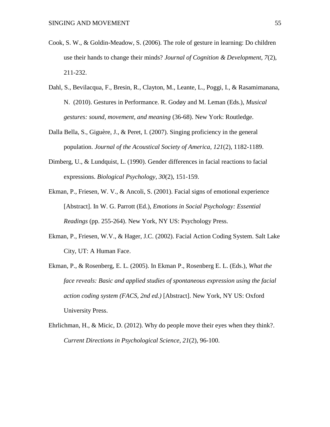- Cook, S. W., & Goldin-Meadow, S. (2006). The role of gesture in learning: Do children use their hands to change their minds? *Journal of Cognition & Development, 7*(2), 211-232.
- Dahl, S., Bevilacqua, F., Bresin, R., Clayton, M., Leante, L., Poggi, I., & Rasamimanana, N. (2010). Gestures in Performance. R. Godøy and M. Leman (Eds.), *Musical gestures: sound, movement, and meaning* (36-68). New York: Routledge.
- Dalla Bella, S., Giguère, J., & Peret, I. (2007). Singing proficiency in the general population. *Journal of the Acoustical Society of America, 121*(2), 1182-1189.
- Dimberg, U., & Lundquist, L. (1990). Gender differences in facial reactions to facial expressions. *Biological Psychology, 30*(2), 151-159.
- Ekman, P., Friesen, W. V., & Ancoli, S. (2001). Facial signs of emotional experience [Abstract]. In W. G. Parrott (Ed.), *Emotions in Social Psychology: Essential Readings* (pp. 255-264). New York, NY US: Psychology Press.
- Ekman, P., Friesen, W.V., & Hager, J.C. (2002). Facial Action Coding System. Salt Lake City, UT: A Human Face.
- Ekman, P., & Rosenberg, E. L. (2005). In Ekman P., Rosenberg E. L. (Eds.), *What the face reveals: Basic and applied studies of spontaneous expression using the facial action coding system (FACS, 2nd ed.)* [Abstract]. New York, NY US: Oxford University Press.
- Ehrlichman, H., & Micic, D. (2012). Why do people move their eyes when they think?. *Current Directions in Psychological Science*, *21*(2), 96-100.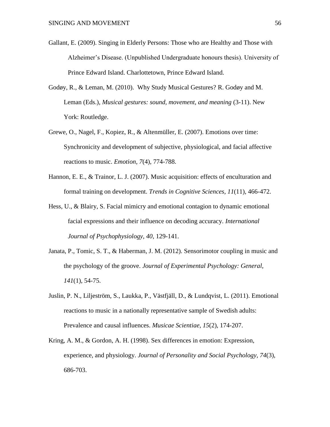- Gallant, E. (2009). Singing in Elderly Persons: Those who are Healthy and Those with Alzheimer's Disease. (Unpublished Undergraduate honours thesis). University of Prince Edward Island. Charlottetown, Prince Edward Island.
- Godøy, R., & Leman, M. (2010). Why Study Musical Gestures? R. Godøy and M. Leman (Eds.), *Musical gestures: sound, movement, and meaning* (3-11). New York: Routledge.
- Grewe, O., Nagel, F., Kopiez, R., & Altenmüller, E. (2007). Emotions over time: Synchronicity and development of subjective, physiological, and facial affective reactions to music. *Emotion*, *7*(4), 774-788.
- Hannon, E. E., & Trainor, L. J. (2007). Music acquisition: effects of enculturation and formal training on development. *Trends in Cognitive Sciences*, *11*(11), 466-472.
- Hess, U., & Blairy, S. Facial mimicry and emotional contagion to dynamic emotional facial expressions and their influence on decoding accuracy. *International Journal of Psychophysiology, 40*, 129-141.
- Janata, P., Tomic, S. T., & Haberman, J. M. (2012). Sensorimotor coupling in music and the psychology of the groove. *Journal of Experimental Psychology: General, 141*(1), 54-75.
- Juslin, P. N., Liljeström, S., Laukka, P., Västfjäll, D., & Lundqvist, L. (2011). Emotional reactions to music in a nationally representative sample of Swedish adults: Prevalence and causal influences. *Musicae Scientiae*, *15*(2), 174-207.
- Kring, A. M., & Gordon, A. H. (1998). Sex differences in emotion: Expression, experience, and physiology. *Journal of Personality and Social Psychology, 74*(3), 686-703.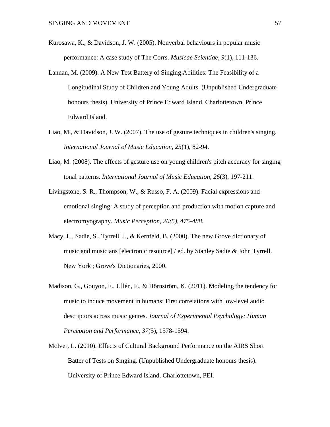- Kurosawa, K., & Davidson, J. W. (2005). Nonverbal behaviours in popular music performance: A case study of The Corrs. *Musicae Scientiae*, *9*(1), 111-136.
- Lannan, M. (2009). A New Test Battery of Singing Abilities: The Feasibility of a Longitudinal Study of Children and Young Adults. (Unpublished Undergraduate honours thesis). University of Prince Edward Island. Charlottetown, Prince Edward Island.
- Liao, M., & Davidson, J. W. (2007). The use of gesture techniques in children's singing. *International Journal of Music Education, 25*(1), 82-94.
- Liao, M. (2008). The effects of gesture use on young children's pitch accuracy for singing tonal patterns. *International Journal of Music Education, 26*(3), 197-211.
- Livingstone, S. R., Thompson, W., & Russo, F. A. (2009). Facial expressions and emotional singing: A study of perception and production with motion capture and electromyography. *Music Perception, 26(5), 475-488.*
- Macy, L., Sadie, S., Tyrrell, J., & Kernfeld, B. (2000). The new Grove dictionary of music and musicians [electronic resource] / ed. by Stanley Sadie & John Tyrrell. New York ; Grove's Dictionaries, 2000.
- Madison, G., Gouyon, F., Ullén, F., & Hörnström, K. (2011). Modeling the tendency for music to induce movement in humans: First correlations with low-level audio descriptors across music genres. *Journal of Experimental Psychology: Human Perception and Performance, 37*(5), 1578-1594.
- McIver, L. (2010). Effects of Cultural Background Performance on the AIRS Short Batter of Tests on Singing. (Unpublished Undergraduate honours thesis). University of Prince Edward Island, Charlottetown, PEI.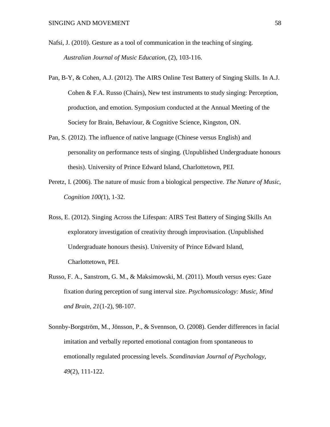- Nafsi, J. (2010). Gesture as a tool of communication in the teaching of singing. *Australian Journal of Music Education*, (2), 103-116.
- Pan, B-Y, & Cohen, A.J. (2012). The AIRS Online Test Battery of Singing Skills. In A.J. Cohen & F.A. Russo (Chairs), New test instruments to study singing: Perception, production, and emotion. Symposium conducted at the Annual Meeting of the Society for Brain, Behaviour, & Cognitive Science, Kingston, ON.
- Pan, S. (2012). The influence of native language (Chinese versus English) and personality on performance tests of singing. (Unpublished Undergraduate honours thesis). University of Prince Edward Island, Charlottetown, PEI.
- Peretz, I. (2006). The nature of music from a biological perspective. *The Nature of Music, Cognition 100(*1), 1-32.
- Ross, E. (2012). Singing Across the Lifespan: AIRS Test Battery of Singing Skills An exploratory investigation of creativity through improvisation. (Unpublished Undergraduate honours thesis). University of Prince Edward Island, Charlottetown, PEI.
- Russo, F. A., Sanstrom, G. M., & Maksimowski, M. (2011). Mouth versus eyes: Gaze fixation during perception of sung interval size. *Psychomusicology: Music, Mind and Brain, 21*(1-2), 98-107.
- Sonnby-Borgström, M., Jönsson, P., & Svennson, O. (2008). Gender differences in facial imitation and verbally reported emotional contagion from spontaneous to emotionally regulated processing levels. *Scandinavian Journal of Psychology, 49*(2), 111-122.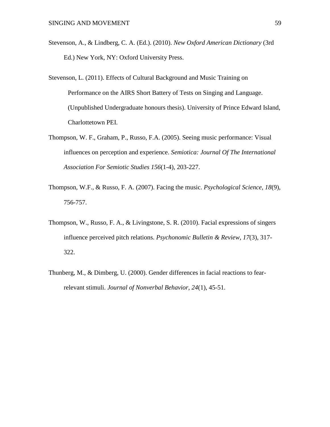- Stevenson, A., & Lindberg, C. A. (Ed.). (2010). *New Oxford American Dictionary* (3rd Ed.) New York, NY: Oxford University Press.
- Stevenson, L. (2011). Effects of Cultural Background and Music Training on Performance on the AIRS Short Battery of Tests on Singing and Language. (Unpublished Undergraduate honours thesis). University of Prince Edward Island, Charlottetown PEI.
- Thompson, W. F., Graham, P., Russo, F.A. (2005). Seeing music performance: Visual influences on perception and experience. *Semiotica: Journal Of The International Association For Semiotic Studies 156*(1-4), 203-227.
- Thompson, W.F., & Russo, F. A. (2007). Facing the music. *Psychological Science, 18*(9), 756-757.
- Thompson, W., Russo, F. A., & Livingstone, S. R. (2010). Facial expressions of singers influence perceived pitch relations. *Psychonomic Bulletin & Review*, *17*(3), 317- 322.
- Thunberg, M., & Dimberg, U. (2000). Gender differences in facial reactions to fearrelevant stimuli. *Journal of Nonverbal Behavior, 24*(1), 45-51.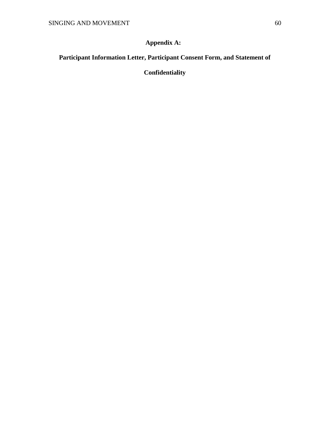# **Appendix A:**

# **Participant Information Letter, Participant Consent Form, and Statement of**

# **Confidentiality**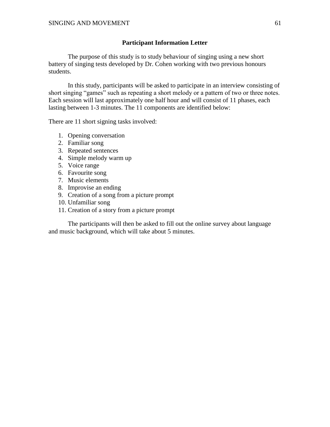# **Participant Information Letter**

The purpose of this study is to study behaviour of singing using a new short battery of singing tests developed by Dr. Cohen working with two previous honours students.

In this study, participants will be asked to participate in an interview consisting of short singing "games" such as repeating a short melody or a pattern of two or three notes. Each session will last approximately one half hour and will consist of 11 phases, each lasting between 1-3 minutes. The 11 components are identified below:

There are 11 short signing tasks involved:

- 1. Opening conversation
- 2. Familiar song
- 3. Repeated sentences
- 4. Simple melody warm up
- 5. Voice range
- 6. Favourite song
- 7. Music elements
- 8. Improvise an ending
- 9. Creation of a song from a picture prompt
- 10. Unfamiliar song
- 11. Creation of a story from a picture prompt

The participants will then be asked to fill out the online survey about language and music background, which will take about 5 minutes.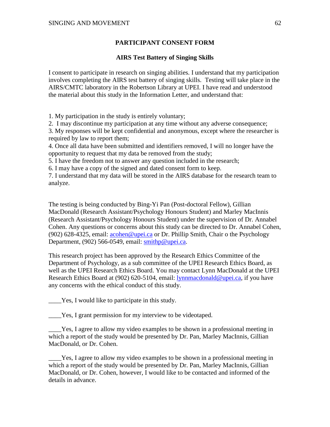# **PARTICIPANT CONSENT FORM**

# **AIRS Test Battery of Singing Skills**

I consent to participate in research on singing abilities. I understand that my participation involves completing the AIRS test battery of singing skills. Testing will take place in the AIRS/CMTC laboratory in the Robertson Library at UPEI. I have read and understood the material about this study in the Information Letter, and understand that:

1. My participation in the study is entirely voluntary;

2. I may discontinue my participation at any time without any adverse consequence;

3. My responses will be kept confidential and anonymous, except where the researcher is required by law to report them;

4. Once all data have been submitted and identifiers removed, I will no longer have the opportunity to request that my data be removed from the study;

5. I have the freedom not to answer any question included in the research;

6. I may have a copy of the signed and dated consent form to keep.

7. I understand that my data will be stored in the AIRS database for the research team to analyze.

The testing is being conducted by Bing-Yi Pan (Post-doctoral Fellow), Gillian MacDonald (Research Assistant/Psychology Honours Student) and Marley MacInnis (Research Assistant/Psychology Honours Student) under the supervision of Dr. Annabel Cohen. Any questions or concerns about this study can be directed to Dr. Annabel Cohen, (902) 628-4325, email: [acohen@upei.ca](mailto:acohen@upei.ca) or Dr. Phillip Smith, Chair o the Psychology Department, (902) 566-0549, email: [smithp@upei.ca.](mailto:smithp@upei.ca)

This research project has been approved by the Research Ethics Committee of the Department of Psychology, as a sub committee of the UPEI Research Ethics Board, as well as the UPEI Research Ethics Board. You may contact Lynn MacDonald at the UPEI Research Ethics Board at (902) 620-5104, email: [lynnmacdonald@upei.ca,](mailto:lynnmacdonald@upei.ca) if you have any concerns with the ethical conduct of this study.

Yes, I would like to participate in this study.

\_\_\_\_Yes, I grant permission for my interview to be videotaped.

\_\_\_\_Yes, I agree to allow my video examples to be shown in a professional meeting in which a report of the study would be presented by Dr. Pan, Marley MacInnis, Gillian MacDonald, or Dr. Cohen.

\_\_\_\_Yes, I agree to allow my video examples to be shown in a professional meeting in which a report of the study would be presented by Dr. Pan, Marley MacInnis, Gillian MacDonald, or Dr. Cohen, however, I would like to be contacted and informed of the details in advance.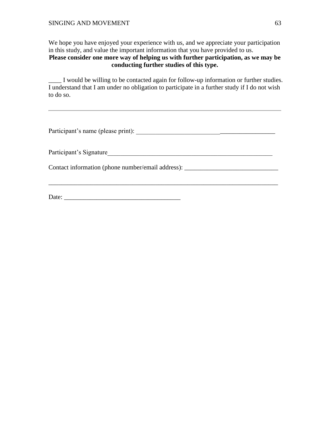We hope you have enjoyed your experience with us, and we appreciate your participation in this study, and value the important information that you have provided to us. **Please consider one more way of helping us with further participation, as we may be conducting further studies of this type.** 

\_\_\_\_ I would be willing to be contacted again for follow-up information or further studies. I understand that I am under no obligation to participate in a further study if I do not wish to do so.

| Participant's name (please print):                        |
|-----------------------------------------------------------|
| Participant's Signature                                   |
| Contact information (phone number/email address): _______ |
|                                                           |

Date: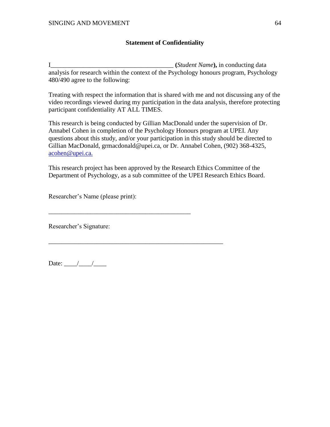# **Statement of Confidentiality**

I\_\_\_\_\_\_\_\_\_\_\_\_\_\_\_\_\_\_\_\_\_\_\_\_\_\_\_\_\_\_\_\_\_\_\_\_\_\_ **(***Student Name***),** in conducting data analysis for research within the context of the Psychology honours program, Psychology 480/490 agree to the following:

Treating with respect the information that is shared with me and not discussing any of the video recordings viewed during my participation in the data analysis, therefore protecting participant confidentiality AT ALL TIMES.

This research is being conducted by Gillian MacDonald under the supervision of Dr. Annabel Cohen in completion of the Psychology Honours program at UPEI. Any questions about this study, and/or your participation in this study should be directed to Gillian MacDonald, grmacdonald@upei.ca, or Dr. Annabel Cohen, (902) 368-4325, [acohen@upei.ca.](mailto:acohen@upei.ca)

This research project has been approved by the Research Ethics Committee of the Department of Psychology, as a sub committee of the UPEI Research Ethics Board.

Researcher's Name (please print):

\_\_\_\_\_\_\_\_\_\_\_\_\_\_\_\_\_\_\_\_\_\_\_\_\_\_\_\_\_\_\_\_\_\_\_\_\_\_\_\_\_\_\_\_

\_\_\_\_\_\_\_\_\_\_\_\_\_\_\_\_\_\_\_\_\_\_\_\_\_\_\_\_\_\_\_\_\_\_\_\_\_\_\_\_\_\_\_\_\_\_\_\_\_\_\_\_\_\_

Researcher's Signature:

Date: \_\_\_\_/\_\_\_\_/\_\_\_\_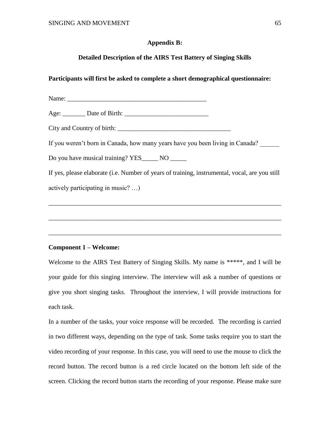# **Appendix B:**

# **Detailed Description of the AIRS Test Battery of Singing Skills**

# **Participants will first be asked to complete a short demographical questionnaire:**

Name:

Age: Date of Birth:

City and Country of birth: \_\_\_\_\_\_\_\_\_\_\_\_\_\_\_\_\_\_\_\_\_\_\_\_\_\_\_\_\_\_\_\_\_\_\_

If you weren't born in Canada, how many years have you been living in Canada?

Do you have musical training? YES NO

If yes, please elaborate (i.e. Number of years of training, instrumental, vocal, are you still actively participating in music? …)

\_\_\_\_\_\_\_\_\_\_\_\_\_\_\_\_\_\_\_\_\_\_\_\_\_\_\_\_\_\_\_\_\_\_\_\_\_\_\_\_\_\_\_\_\_\_\_\_\_\_\_\_\_\_\_\_\_\_\_\_\_\_\_\_\_\_\_\_\_\_\_\_

\_\_\_\_\_\_\_\_\_\_\_\_\_\_\_\_\_\_\_\_\_\_\_\_\_\_\_\_\_\_\_\_\_\_\_\_\_\_\_\_\_\_\_\_\_\_\_\_\_\_\_\_\_\_\_\_\_\_\_\_\_\_\_\_\_\_\_\_\_\_\_\_

\_\_\_\_\_\_\_\_\_\_\_\_\_\_\_\_\_\_\_\_\_\_\_\_\_\_\_\_\_\_\_\_\_\_\_\_\_\_\_\_\_\_\_\_\_\_\_\_\_\_\_\_\_\_\_\_\_\_\_\_\_\_\_\_\_\_\_\_\_\_\_\_

### **Component 1 – Welcome:**

Welcome to the AIRS Test Battery of Singing Skills. My name is \*\*\*\*\*, and I will be your guide for this singing interview. The interview will ask a number of questions or give you short singing tasks. Throughout the interview, I will provide instructions for each task.

In a number of the tasks, your voice response will be recorded. The recording is carried in two different ways, depending on the type of task. Some tasks require you to start the video recording of your response. In this case, you will need to use the mouse to click the record button. The record button is a red circle located on the bottom left side of the screen. Clicking the record button starts the recording of your response. Please make sure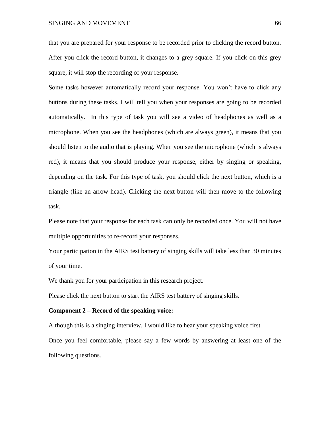SINGING AND MOVEMENT 66

that you are prepared for your response to be recorded prior to clicking the record button. After you click the record button, it changes to a grey square. If you click on this grey square, it will stop the recording of your response.

Some tasks however automatically record your response. You won't have to click any buttons during these tasks. I will tell you when your responses are going to be recorded automatically. In this type of task you will see a video of headphones as well as a microphone. When you see the headphones (which are always green), it means that you should listen to the audio that is playing. When you see the microphone (which is always red), it means that you should produce your response, either by singing or speaking, depending on the task. For this type of task, you should click the next button, which is a triangle (like an arrow head). Clicking the next button will then move to the following task.

Please note that your response for each task can only be recorded once. You will not have multiple opportunities to re-record your responses.

Your participation in the AIRS test battery of singing skills will take less than 30 minutes of your time.

We thank you for your participation in this research project.

Please click the next button to start the AIRS test battery of singing skills.

#### **Component 2 – Record of the speaking voice:**

Although this is a singing interview, I would like to hear your speaking voice first Once you feel comfortable, please say a few words by answering at least one of the following questions.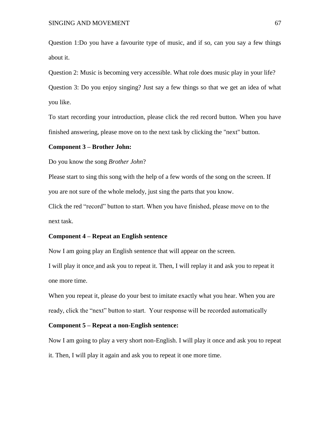Question 1:Do you have a favourite type of music, and if so, can you say a few things about it.

Question 2: Music is becoming very accessible. What role does music play in your life? Question 3: Do you enjoy singing? Just say a few things so that we get an idea of what you like.

To start recording your introduction, please click the red record button. When you have finished answering, please move on to the next task by clicking the "next" button.

#### **Component 3 – Brother John:**

#### Do you know the song *Brother John*?

Please start to sing this song with the help of a few words of the song on the screen. If you are not sure of the whole melody, just sing the parts that you know.

Click the red "record" button to start. When you have finished, please move on to the next task.

#### **Component 4 – Repeat an English sentence**

Now I am going play an English sentence that will appear on the screen.

I will play it once and ask you to repeat it. Then, I will replay it and ask you to repeat it one more time.

When you repeat it, please do your best to imitate exactly what you hear. When you are ready, click the "next" button to start. Your response will be recorded automatically

#### **Component 5 – Repeat a non-English sentence:**

Now I am going to play a very short non-English. I will play it once and ask you to repeat it. Then, I will play it again and ask you to repeat it one more time.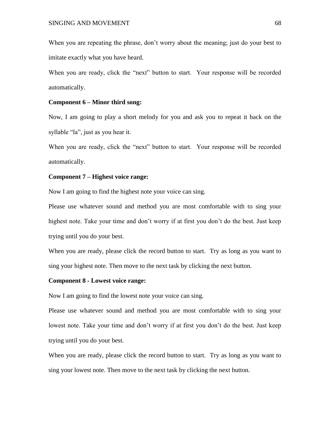When you are repeating the phrase, don't worry about the meaning; just do your best to imitate exactly what you have heard.

When you are ready, click the "next" button to start. Your response will be recorded automatically.

## **Component 6 – Minor third song:**

Now, I am going to play a short melody for you and ask you to repeat it back on the syllable "la", just as you hear it.

When you are ready, click the "next" button to start. Your response will be recorded automatically.

# **Component 7 – Highest voice range:**

Now I am going to find the highest note your voice can sing.

Please use whatever sound and method you are most comfortable with to sing your highest note. Take your time and don't worry if at first you don't do the best. Just keep trying until you do your best.

When you are ready, please click the record button to start. Try as long as you want to sing your highest note. Then move to the next task by clicking the next button.

### **Component 8 - Lowest voice range:**

Now I am going to find the lowest note your voice can sing.

Please use whatever sound and method you are most comfortable with to sing your lowest note. Take your time and don't worry if at first you don't do the best. Just keep trying until you do your best.

When you are ready, please click the record button to start. Try as long as you want to sing your lowest note. Then move to the next task by clicking the next button.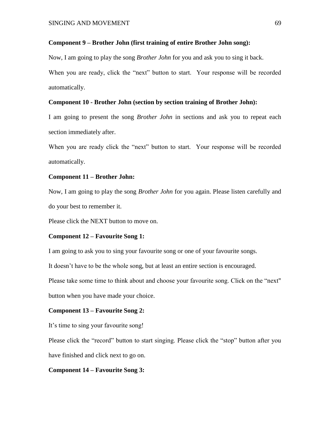# **Component 9 – Brother John (first training of entire Brother John song):**

Now, I am going to play the song *Brother John* for you and ask you to sing it back.

When you are ready, click the "next" button to start. Your response will be recorded automatically.

# **Component 10 - Brother John (section by section training of Brother John):**

I am going to present the song *Brother John* in sections and ask you to repeat each section immediately after.

When you are ready click the "next" button to start. Your response will be recorded automatically.

#### **Component 11 – Brother John:**

Now, I am going to play the song *Brother John* for you again. Please listen carefully and do your best to remember it.

Please click the NEXT button to move on.

#### **Component 12 – Favourite Song 1:**

I am going to ask you to sing your favourite song or one of your favourite songs.

It doesn't have to be the whole song, but at least an entire section is encouraged.

Please take some time to think about and choose your favourite song. Click on the "next"

button when you have made your choice.

#### **Component 13 – Favourite Song 2:**

It's time to sing your favourite song!

Please click the "record" button to start singing. Please click the "stop" button after you have finished and click next to go on.

# **Component 14 – Favourite Song 3:**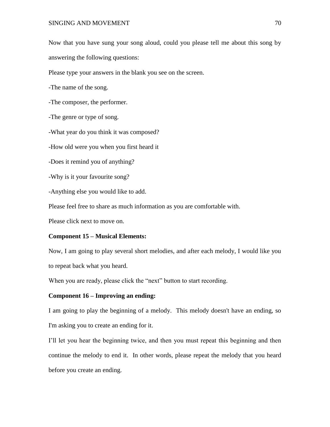Now that you have sung your song aloud, could you please tell me about this song by answering the following questions:

Please type your answers in the blank you see on the screen.

-The name of the song.

-The composer, the performer.

-The genre or type of song.

-What year do you think it was composed?

-How old were you when you first heard it

-Does it remind you of anything?

-Why is it your favourite song?

-Anything else you would like to add.

Please feel free to share as much information as you are comfortable with.

Please click next to move on.

#### **Component 15 – Musical Elements:**

Now, I am going to play several short melodies, and after each melody, I would like you to repeat back what you heard.

When you are ready, please click the "next" button to start recording.

# **Component 16 – Improving an ending:**

I am going to play the beginning of a melody. This melody doesn't have an ending, so I'm asking you to create an ending for it.

I'll let you hear the beginning twice, and then you must repeat this beginning and then continue the melody to end it. In other words, please repeat the melody that you heard before you create an ending.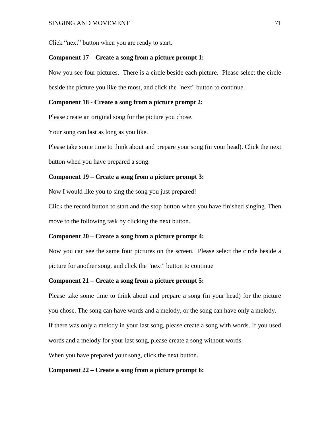Click "next" button when you are ready to start.

# **Component 17 – Create a song from a picture prompt 1:**

Now you see four pictures. There is a circle beside each picture. Please select the circle beside the picture you like the most, and click the "next" button to continue.

# **Component 18 - Create a song from a picture prompt 2:**

Please create an original song for the picture you chose.

Your song can last as long as you like.

Please take some time to think about and prepare your song (in your head). Click the next button when you have prepared a song.

# **Component 19 – Create a song from a picture prompt 3:**

Now I would like you to sing the song you just prepared!

Click the record button to start and the stop button when you have finished singing. Then move to the following task by clicking the next button.

# **Component 20 – Create a song from a picture prompt 4:**

Now you can see the same four pictures on the screen. Please select the circle beside a picture for another song, and click the "next" button to continue

# **Component 21 – Create a song from a picture prompt 5:**

Please take some time to think about and prepare a song (in your head) for the picture you chose. The song can have words and a melody, or the song can have only a melody. If there was only a melody in your last song, please create a song with words. If you used words and a melody for your last song, please create a song without words.

When you have prepared your song, click the next button.

# **Component 22 – Create a song from a picture prompt 6:**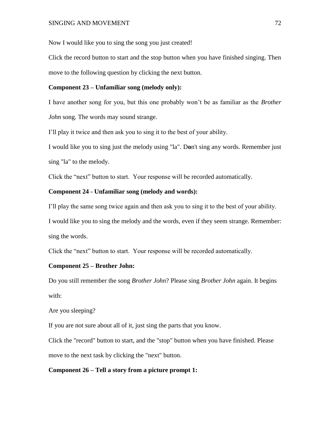Now I would like you to sing the song you just created!

Click the record button to start and the stop button when you have finished singing. Then move to the following question by clicking the next button.

# **Component 23 – Unfamiliar song (melody only):**

I have another song for you, but this one probably won't be as familiar as the *Brother John* song. The words may sound strange.

I'll play it twice and then ask you to sing it to the best of your ability.

I would like you to sing just the melody using "la". D**o**n't sing any words. Remember just sing "la" to the melody.

Click the "next" button to start. Your response will be recorded automatically.

# **Component 24 - Unfamiliar song (melody and words):**

I'll play the same song twice again and then ask you to sing it to the best of your ability.

I would like you to sing the melody and the words, even if they seem strange. Remember: sing the words.

Click the "next" button to start. Your response will be recorded automatically.

### **Component 25 – Brother John:**

Do you still remember the song *Brother John*? Please sing *Brother John* again. It begins with:

Are you sleeping?

If you are not sure about all of it, just sing the parts that you know.

Click the "record" button to start, and the "stop" button when you have finished. Please move to the next task by clicking the "next" button.

# **Component 26 – Tell a story from a picture prompt 1:**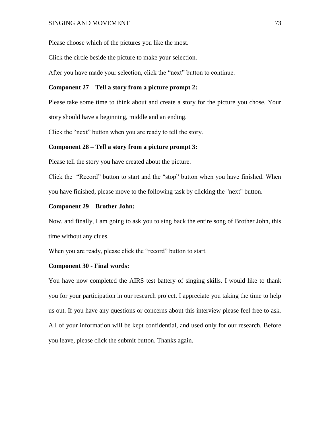Please choose which of the pictures you like the most.

Click the circle beside the picture to make your selection.

After you have made your selection, click the "next" button to continue.

### **Component 27 – Tell a story from a picture prompt 2:**

Please take some time to think about and create a story for the picture you chose. Your story should have a beginning, middle and an ending.

Click the "next" button when you are ready to tell the story.

### **Component 28 – Tell a story from a picture prompt 3:**

Please tell the story you have created about the picture.

Click the "Record" button to start and the "stop" button when you have finished. When you have finished, please move to the following task by clicking the "next" button.

### **Component 29 – Brother John:**

Now, and finally, I am going to ask you to sing back the entire song of Brother John, this time without any clues.

When you are ready, please click the "record" button to start.

### **Component 30 - Final words:**

You have now completed the AIRS test battery of singing skills. I would like to thank you for your participation in our research project. I appreciate you taking the time to help us out. If you have any questions or concerns about this interview please feel free to ask. All of your information will be kept confidential, and used only for our research. Before you leave, please click the submit button. Thanks again.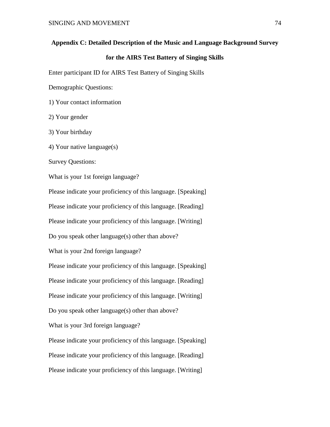### **Appendix C: Detailed Description of the Music and Language Background Survey**

## **for the AIRS Test Battery of Singing Skills**

Enter participant ID for AIRS Test Battery of Singing Skills

Demographic Questions:

1) Your contact information

2) Your gender

3) Your birthday

4) Your native language(s)

Survey Questions:

What is your 1st foreign language?

Please indicate your proficiency of this language. [Speaking]

Please indicate your proficiency of this language. [Reading]

Please indicate your proficiency of this language. [Writing]

Do you speak other language(s) other than above?

What is your 2nd foreign language?

Please indicate your proficiency of this language. [Speaking] Please indicate your proficiency of this language. [Reading] Please indicate your proficiency of this language. [Writing]

Do you speak other language(s) other than above?

What is your 3rd foreign language?

Please indicate your proficiency of this language. [Speaking] Please indicate your proficiency of this language. [Reading] Please indicate your proficiency of this language. [Writing]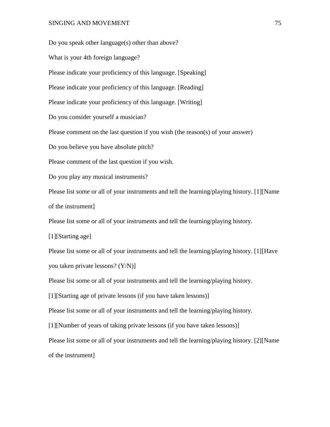### SINGING AND MOVEMENT 75

Do you speak other language(s) other than above? What is your 4th foreign language? Please indicate your proficiency of this language. [Speaking] Please indicate your proficiency of this language. [Reading] Please indicate your proficiency of this language. [Writing] Do you consider yourself a musician? Please comment on the last question if you wish (the reason(s) of your answer) Do you believe you have absolute pitch? Please comment of the last question if you wish. Do you play any musical instruments? Please list some or all of your instruments and tell the learning/playing history. [1][Name of the instrument] Please list some or all of your instruments and tell the learning/playing history. [1][Starting age] Please list some or all of your instruments and tell the learning/playing history. [1][Have you taken private lessons? (Y/N)] Please list some or all of your instruments and tell the learning/playing history. [1][Starting age of private lessons (if you have taken lessons)] Please list some or all of your instruments and tell the learning/playing history. [1][Number of years of taking private lessons (if you have taken lessons)] Please list some or all of your instruments and tell the learning/playing history. [2][Name of the instrument]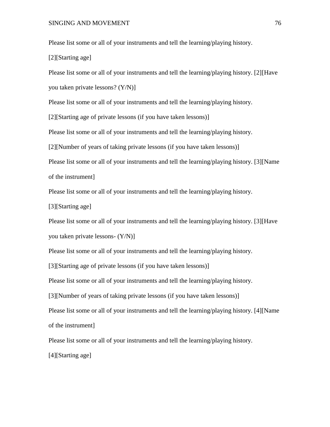Please list some or all of your instruments and tell the learning/playing history.

[2][Starting age]

Please list some or all of your instruments and tell the learning/playing history. [2][Have

you taken private lessons? (Y/N)]

Please list some or all of your instruments and tell the learning/playing history.

[2][Starting age of private lessons (if you have taken lessons)]

Please list some or all of your instruments and tell the learning/playing history.

[2][Number of years of taking private lessons (if you have taken lessons)]

Please list some or all of your instruments and tell the learning/playing history. [3][Name of the instrument]

Please list some or all of your instruments and tell the learning/playing history.

[3][Starting age]

Please list some or all of your instruments and tell the learning/playing history. [3][Have you taken private lessons- (Y/N)]

Please list some or all of your instruments and tell the learning/playing history.

[3][Starting age of private lessons (if you have taken lessons)]

Please list some or all of your instruments and tell the learning/playing history.

[3][Number of years of taking private lessons (if you have taken lessons)]

Please list some or all of your instruments and tell the learning/playing history. [4][Name of the instrument]

Please list some or all of your instruments and tell the learning/playing history.

[4][Starting age]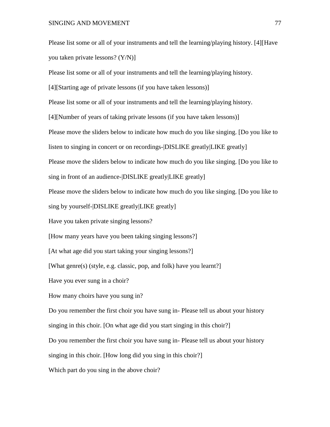Please list some or all of your instruments and tell the learning/playing history. [4][Have you taken private lessons? (Y/N)]

Please list some or all of your instruments and tell the learning/playing history.

[4][Starting age of private lessons (if you have taken lessons)]

Please list some or all of your instruments and tell the learning/playing history.

[4][Number of years of taking private lessons (if you have taken lessons)]

Please move the sliders below to indicate how much do you like singing. [Do you like to

listen to singing in concert or on recordings-|DISLIKE greatly|LIKE greatly]

Please move the sliders below to indicate how much do you like singing. [Do you like to

sing in front of an audience-|DISLIKE greatly|LIKE greatly]

Please move the sliders below to indicate how much do you like singing. [Do you like to

sing by yourself-|DISLIKE greatly|LIKE greatly]

Have you taken private singing lessons?

[How many years have you been taking singing lessons?]

[At what age did you start taking your singing lessons?]

[What genre(s) (style, e.g. classic, pop, and folk) have you learnt?]

Have you ever sung in a choir?

How many choirs have you sung in?

Do you remember the first choir you have sung in- Please tell us about your history

singing in this choir. [On what age did you start singing in this choir?]

Do you remember the first choir you have sung in- Please tell us about your history

singing in this choir. [How long did you sing in this choir?]

Which part do you sing in the above choir?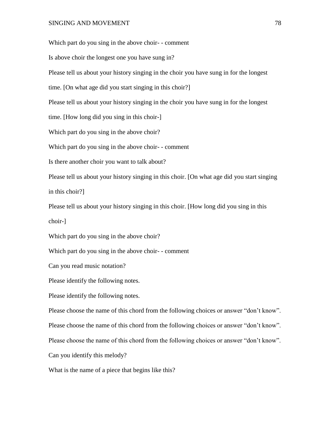Which part do you sing in the above choir- - comment Is above choir the longest one you have sung in? Please tell us about your history singing in the choir you have sung in for the longest time. [On what age did you start singing in this choir?] Please tell us about your history singing in the choir you have sung in for the longest time. [How long did you sing in this choir-] Which part do you sing in the above choir? Which part do you sing in the above choir- - comment Is there another choir you want to talk about? Please tell us about your history singing in this choir. [On what age did you start singing in this choir?] Please tell us about your history singing in this choir. [How long did you sing in this choir-] Which part do you sing in the above choir? Which part do you sing in the above choir- - comment Can you read music notation? Please identify the following notes. Please identify the following notes. Please choose the name of this chord from the following choices or answer "don't know". Please choose the name of this chord from the following choices or answer "don't know". Please choose the name of this chord from the following choices or answer "don't know".

What is the name of a piece that begins like this?

Can you identify this melody?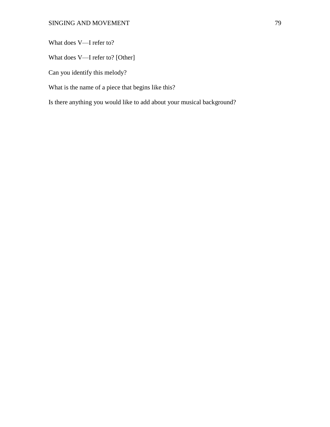What does V—I refer to?

What does V—I refer to? [Other]

Can you identify this melody?

What is the name of a piece that begins like this?

Is there anything you would like to add about your musical background?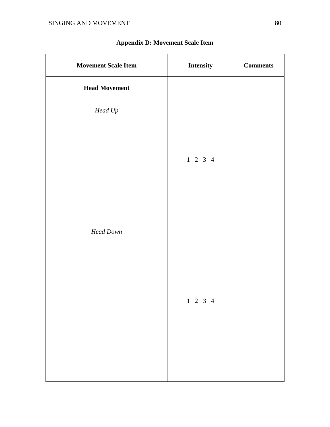| <b>Movement Scale Item</b> | <b>Intensity</b>         | <b>Comments</b> |
|----------------------------|--------------------------|-----------------|
| <b>Head Movement</b>       |                          |                 |
| $\emph{Head Up}$           |                          |                 |
|                            |                          |                 |
|                            | $1 \t2 \t3 \t4$          |                 |
|                            |                          |                 |
|                            |                          |                 |
|                            |                          |                 |
| <b>Head Down</b>           |                          |                 |
|                            |                          |                 |
|                            |                          |                 |
|                            | $1\quad 2\quad 3\quad 4$ |                 |
|                            |                          |                 |
|                            |                          |                 |
|                            |                          |                 |
|                            |                          |                 |

# **Appendix D: Movement Scale Item**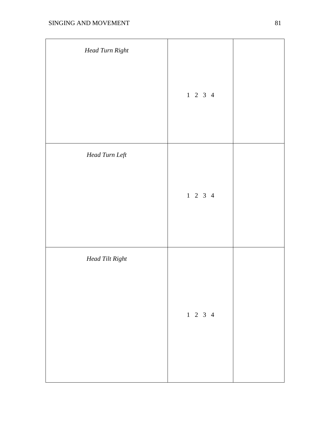| Head Turn Right |                 |  |
|-----------------|-----------------|--|
|                 | $1 \t2 \t3 \t4$ |  |
| Head Turn Left  |                 |  |
|                 | $1 \t2 \t3 \t4$ |  |
| Head Tilt Right |                 |  |
|                 | $1 \t2 \t3 \t4$ |  |
|                 |                 |  |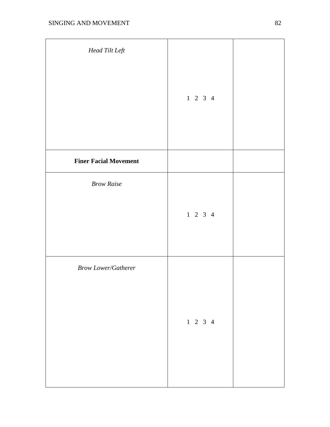| Head Tilt Left               |                 |  |
|------------------------------|-----------------|--|
|                              | $1 \t2 \t3 \t4$ |  |
| <b>Finer Facial Movement</b> |                 |  |
| <b>Brow Raise</b>            | $1 \t2 \t3 \t4$ |  |
| <b>Brow Lower/Gatherer</b>   | $1 \t2 \t3 \t4$ |  |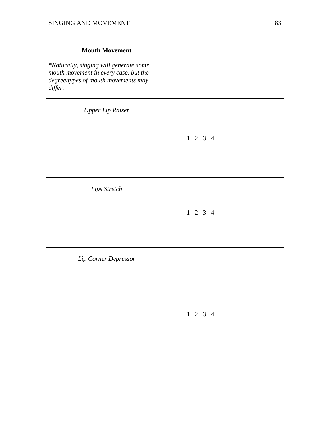| <b>Mouth Movement</b><br>*Naturally, singing will generate some<br>mouth movement in every case, but the<br>degree/types of mouth movements may<br>differ. |                 |  |
|------------------------------------------------------------------------------------------------------------------------------------------------------------|-----------------|--|
| <b>Upper Lip Raiser</b>                                                                                                                                    | $1 \t2 \t3 \t4$ |  |
| Lips Stretch                                                                                                                                               | $1 \t2 \t3 \t4$ |  |
| Lip Corner Depressor                                                                                                                                       | $1 \t2 \t3 \t4$ |  |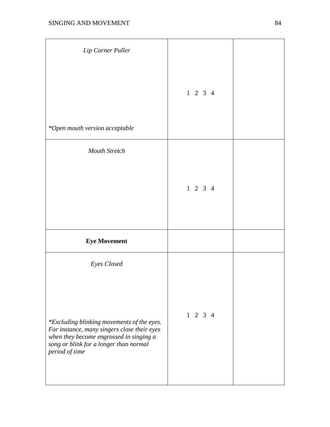| Lip Corner Puller                                                                                                                                                                                               |                 |  |
|-----------------------------------------------------------------------------------------------------------------------------------------------------------------------------------------------------------------|-----------------|--|
| *Open mouth version acceptable                                                                                                                                                                                  | $1 \t2 \t3 \t4$ |  |
| <b>Mouth Stretch</b>                                                                                                                                                                                            |                 |  |
|                                                                                                                                                                                                                 | $1 \t2 \t3 \t4$ |  |
| <b>Eye Movement</b>                                                                                                                                                                                             |                 |  |
| Eyes Closed<br>*Excluding blinking movements of the eyes.<br>For instance, many singers close their eyes<br>when they become engrossed in singing a<br>song or blink for a longer than normal<br>period of time | $1 \t2 \t3 \t4$ |  |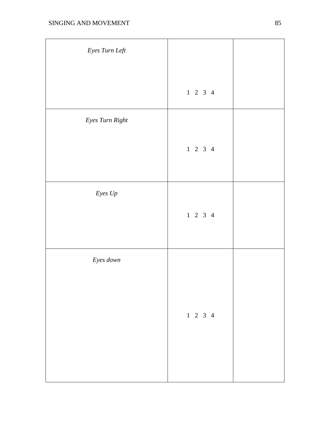| Eyes Turn Left  |                 |  |
|-----------------|-----------------|--|
|                 | $1 \t2 \t3 \t4$ |  |
| Eyes Turn Right |                 |  |
|                 | $1 \t2 \t3 \t4$ |  |
| Eyes $U\!p$     |                 |  |
|                 | $1 \t2 \t3 \t4$ |  |
| Eyes down       |                 |  |
|                 |                 |  |
|                 | $1 \t2 \t3 \t4$ |  |
|                 |                 |  |
|                 |                 |  |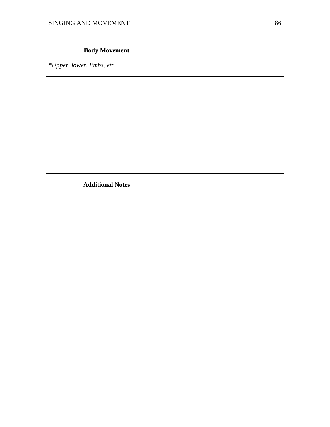| <b>Body Movement</b>       |  |
|----------------------------|--|
| *Upper, lower, limbs, etc. |  |
|                            |  |
|                            |  |
|                            |  |
|                            |  |
|                            |  |
|                            |  |
| <b>Additional Notes</b>    |  |
|                            |  |
|                            |  |
|                            |  |
|                            |  |
|                            |  |
|                            |  |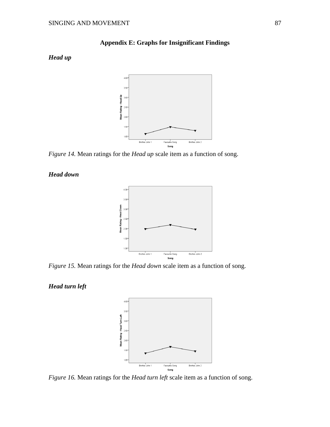## **Appendix E: Graphs for Insignificant Findings**

## *Head up*



*Figure 14.* Mean ratings for the *Head up* scale item as a function of song.

### *Head down*



*Figure 15.* Mean ratings for the *Head down* scale item as a function of song.

## *Head turn left*



*Figure 16.* Mean ratings for the *Head turn left* scale item as a function of song.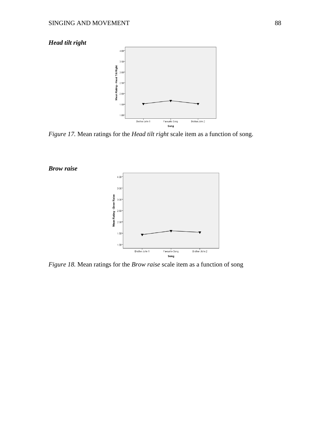# *Head tilt right*



*Figure 17.* Mean ratings for the *Head tilt right* scale item as a function of song.



*Figure 18.* Mean ratings for the *Brow raise* scale item as a function of song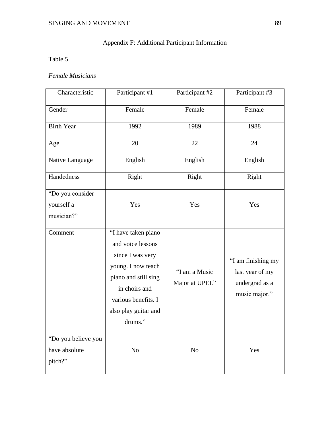# Appendix F: Additional Participant Information

# Table 5

# *Female Musicians*

| Characteristic                                  | Participant #1                                                                                                                                                                        | Participant #2                   | Participant #3                                                           |
|-------------------------------------------------|---------------------------------------------------------------------------------------------------------------------------------------------------------------------------------------|----------------------------------|--------------------------------------------------------------------------|
| Gender                                          | Female                                                                                                                                                                                | Female                           | Female                                                                   |
| <b>Birth Year</b>                               | 1992                                                                                                                                                                                  | 1989                             | 1988                                                                     |
| Age                                             | 20                                                                                                                                                                                    | 22                               | 24                                                                       |
| Native Language                                 | English                                                                                                                                                                               | English                          | English                                                                  |
| Handedness                                      | Right                                                                                                                                                                                 | Right                            | Right                                                                    |
| "Do you consider                                |                                                                                                                                                                                       |                                  |                                                                          |
| yourself a                                      | Yes                                                                                                                                                                                   | Yes                              | Yes                                                                      |
| musician?"                                      |                                                                                                                                                                                       |                                  |                                                                          |
| Comment                                         | "I have taken piano<br>and voice lessons<br>since I was very<br>young. I now teach<br>piano and still sing<br>in choirs and<br>various benefits. I<br>also play guitar and<br>drums." | "I am a Music<br>Major at UPEI." | "I am finishing my<br>last year of my<br>undergrad as a<br>music major." |
| "Do you believe you<br>have absolute<br>pitch?" | No                                                                                                                                                                                    | No                               | Yes                                                                      |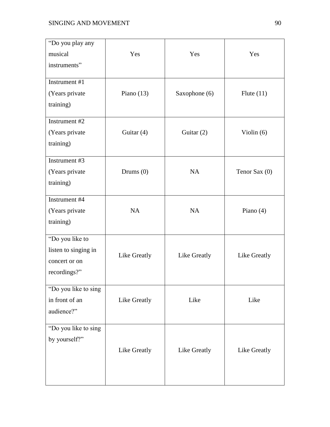| "Do you play any<br>musical<br>instruments"                              | Yes          | Yes           | Yes           |
|--------------------------------------------------------------------------|--------------|---------------|---------------|
| Instrument #1<br>(Years private<br>training)                             | Piano $(13)$ | Saxophone (6) | Flute $(11)$  |
| Instrument #2<br>(Years private<br>training)                             | Guitar $(4)$ | Guitar $(2)$  | Violin $(6)$  |
| Instrument #3<br>(Years private)<br>training)                            | Drums $(0)$  | <b>NA</b>     | Tenor Sax (0) |
| Instrument #4<br>(Years private<br>training)                             | <b>NA</b>    | <b>NA</b>     | Piano $(4)$   |
| "Do you like to<br>listen to singing in<br>concert or on<br>recordings?" | Like Greatly | Like Greatly  | Like Greatly  |
| "Do you like to sing<br>in front of an<br>audience?"                     | Like Greatly | Like          | Like          |
| "Do you like to sing<br>by yourself?"                                    | Like Greatly | Like Greatly  | Like Greatly  |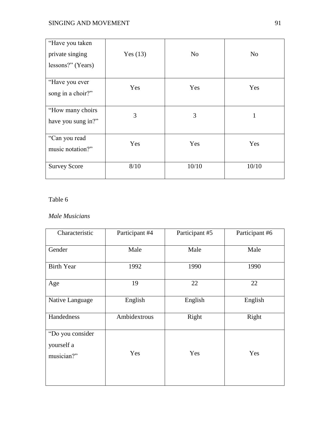# SINGING AND MOVEMENT 91

| "Have you taken"<br>private singing<br>lessons?" (Years) | Yes $(13)$ | N <sub>o</sub> | N <sub>o</sub> |
|----------------------------------------------------------|------------|----------------|----------------|
| "Have you ever<br>song in a choir?"                      | Yes        | Yes            | Yes            |
| "How many choirs"<br>have you sung in?"                  | 3          | 3              | 1              |
| "Can you read<br>music notation?"                        | Yes        | Yes            | Yes            |
| <b>Survey Score</b>                                      | 8/10       | 10/10          | 10/10          |

# Table 6

### *Male Musicians*

| Characteristic                               | Participant #4 | Participant #5 | Participant #6 |
|----------------------------------------------|----------------|----------------|----------------|
| Gender                                       | Male           | Male           | Male           |
| <b>Birth Year</b>                            | 1992           | 1990           | 1990           |
| Age                                          | 19             | 22             | 22             |
| Native Language                              | English        | English        | English        |
| Handedness                                   | Ambidextrous   | Right          | Right          |
| "Do you consider<br>yourself a<br>musician?" | Yes            | Yes            | Yes            |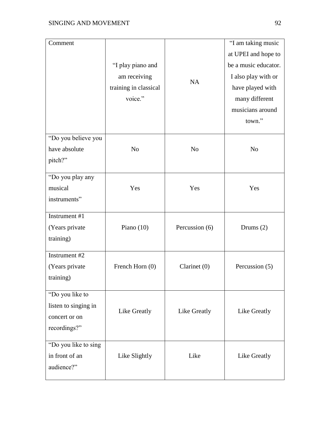| Comment                                                                  | "I play piano and<br>am receiving<br>training in classical<br>voice." | <b>NA</b>      | "I am taking music<br>at UPEI and hope to<br>be a music educator.<br>I also play with or<br>have played with<br>many different<br>musicians around<br>town." |
|--------------------------------------------------------------------------|-----------------------------------------------------------------------|----------------|--------------------------------------------------------------------------------------------------------------------------------------------------------------|
| "Do you believe you<br>have absolute<br>pitch?"                          | N <sub>o</sub>                                                        | N <sub>o</sub> | N <sub>o</sub>                                                                                                                                               |
| "Do you play any<br>musical<br>instruments"                              | Yes                                                                   | Yes            | Yes                                                                                                                                                          |
| Instrument #1<br>(Years private<br>training)                             | Piano $(10)$                                                          | Percussion (6) | Drums $(2)$                                                                                                                                                  |
| Instrument #2<br>(Years private)<br>training)                            | French Horn (0)                                                       | Clarinet $(0)$ | Percussion (5)                                                                                                                                               |
| "Do you like to<br>listen to singing in<br>concert or on<br>recordings?" | Like Greatly                                                          | Like Greatly   | Like Greatly                                                                                                                                                 |
| "Do you like to sing<br>in front of an<br>audience?"                     | Like Slightly                                                         | Like           | Like Greatly                                                                                                                                                 |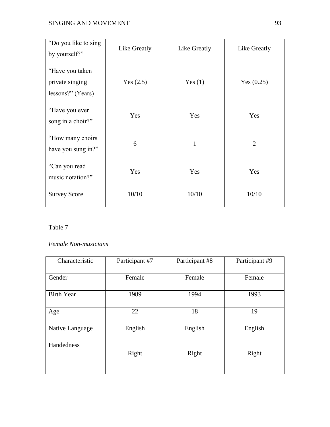| "Do you like to sing"<br>by yourself?"                   | Like Greatly | Like Greatly | Like Greatly   |
|----------------------------------------------------------|--------------|--------------|----------------|
| "Have you taken"<br>private singing<br>lessons?" (Years) | Yes $(2.5)$  | Yes $(1)$    | Yes $(0.25)$   |
| "Have you ever<br>song in a choir?"                      | Yes          | Yes          | Yes            |
| "How many choirs"<br>have you sung in?"                  | 6            | $\mathbf{1}$ | $\overline{2}$ |
| "Can you read<br>music notation?"                        | Yes          | Yes          | Yes            |
| <b>Survey Score</b>                                      | 10/10        | 10/10        | 10/10          |

## Table 7

## *Female Non-musicians*

| Characteristic    | Participant #7 | Participant #8 | Participant #9 |
|-------------------|----------------|----------------|----------------|
| Gender            | Female         | Female         | Female         |
| <b>Birth Year</b> | 1989           | 1994           | 1993           |
| Age               | 22             | 18             | 19             |
| Native Language   | English        | English        | English        |
| Handedness        | Right          | Right          | Right          |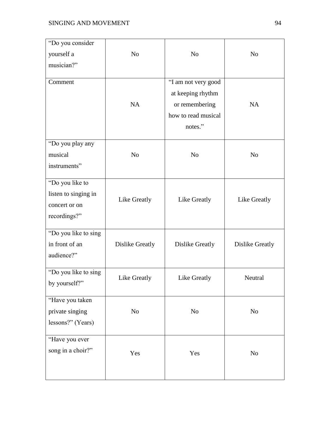| "Do you consider<br>yourself a<br>musician?"                             | N <sub>o</sub>  | N <sub>o</sub>                                                                               | N <sub>o</sub>  |
|--------------------------------------------------------------------------|-----------------|----------------------------------------------------------------------------------------------|-----------------|
| Comment                                                                  | <b>NA</b>       | "I am not very good<br>at keeping rhythm<br>or remembering<br>how to read musical<br>notes." | <b>NA</b>       |
| "Do you play any<br>musical<br>instruments"                              | N <sub>o</sub>  | N <sub>o</sub>                                                                               | N <sub>o</sub>  |
| "Do you like to<br>listen to singing in<br>concert or on<br>recordings?" | Like Greatly    | Like Greatly                                                                                 | Like Greatly    |
| "Do you like to sing<br>in front of an<br>audience?"                     | Dislike Greatly | Dislike Greatly                                                                              | Dislike Greatly |
| "Do you like to sing<br>by yourself?"                                    | Like Greatly    | Like Greatly                                                                                 | Neutral         |
| "Have you taken<br>private singing<br>lessons?" (Years)                  | N <sub>o</sub>  | No                                                                                           | No              |
| "Have you ever<br>song in a choir?"                                      | Yes             | Yes                                                                                          | No              |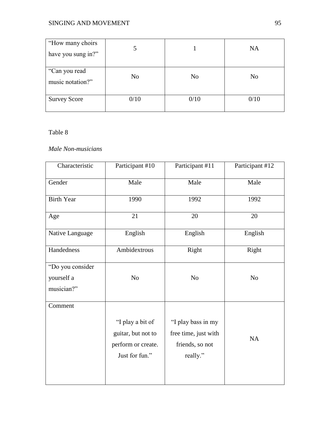# SINGING AND MOVEMENT 95

| "How many choirs"<br>have you sung in?" |                |                | <b>NA</b> |
|-----------------------------------------|----------------|----------------|-----------|
| "Can you read<br>music notation?"       | N <sub>o</sub> | N <sub>o</sub> | No        |
| <b>Survey Score</b>                     | 0/10           | 0/10           | 0/10      |

## Table 8

## *Male Non-musicians*

| Characteristic    | Participant #10                                                                | Participant #11                                                           | Participant #12 |
|-------------------|--------------------------------------------------------------------------------|---------------------------------------------------------------------------|-----------------|
| Gender            | Male                                                                           | Male                                                                      | Male            |
| <b>Birth Year</b> | 1990                                                                           | 1992                                                                      | 1992            |
| Age               | 21                                                                             | 20                                                                        | 20              |
| Native Language   | English                                                                        | English                                                                   | English         |
| Handedness        | Ambidextrous                                                                   | Right                                                                     | Right           |
| "Do you consider  |                                                                                |                                                                           |                 |
| yourself a        | No                                                                             | No                                                                        | N <sub>o</sub>  |
| musician?"        |                                                                                |                                                                           |                 |
| Comment           |                                                                                |                                                                           |                 |
|                   | "I play a bit of<br>guitar, but not to<br>perform or create.<br>Just for fun." | "I play bass in my<br>free time, just with<br>friends, so not<br>really." | <b>NA</b>       |
|                   |                                                                                |                                                                           |                 |